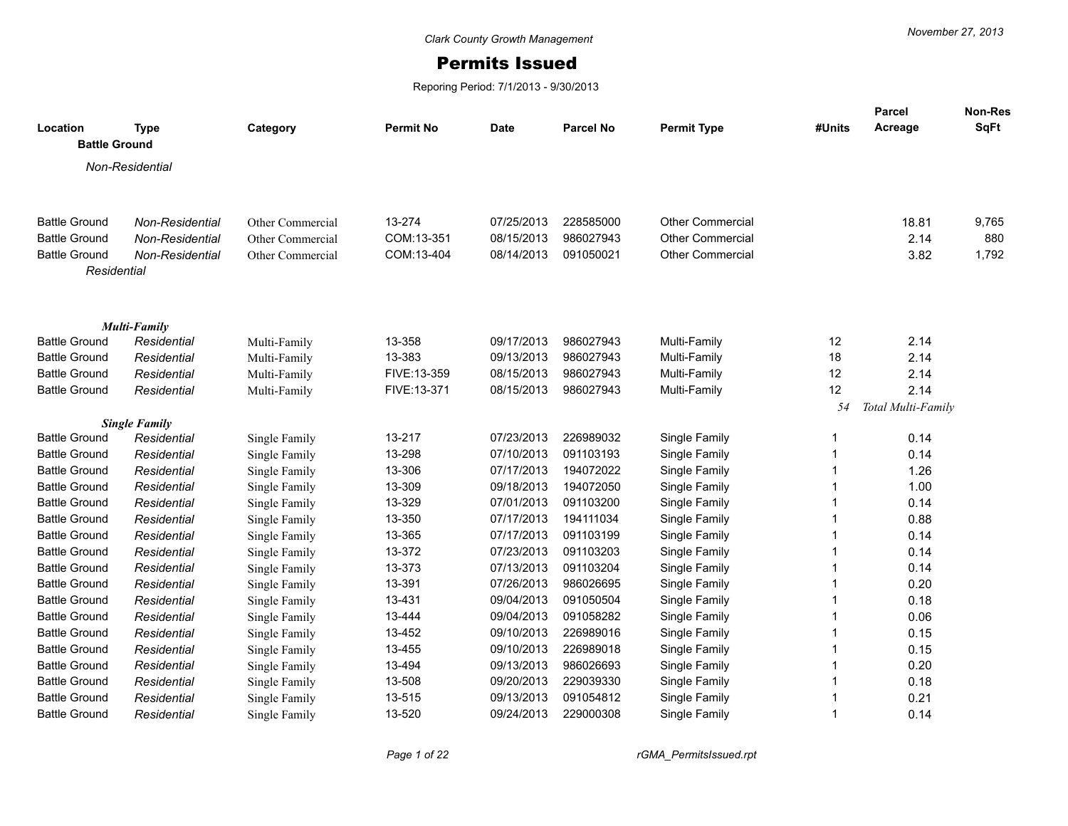## Permits Issued

Reporing Period: 7/1/2013 - 9/30/2013

| Location<br><b>Battle Ground</b> | <b>Type</b>                        | Category         | <b>Permit No</b> | Date       | <b>Parcel No</b> | <b>Permit Type</b>      | #Units | <b>Parcel</b><br>Acreage | Non-Res<br>SqFt |
|----------------------------------|------------------------------------|------------------|------------------|------------|------------------|-------------------------|--------|--------------------------|-----------------|
|                                  | Non-Residential                    |                  |                  |            |                  |                         |        |                          |                 |
|                                  |                                    |                  |                  |            |                  |                         |        |                          |                 |
| <b>Battle Ground</b>             | Non-Residential                    | Other Commercial | 13-274           | 07/25/2013 | 228585000        | <b>Other Commercial</b> |        | 18.81                    | 9,765           |
| <b>Battle Ground</b>             | Non-Residential                    | Other Commercial | COM:13-351       | 08/15/2013 | 986027943        | <b>Other Commercial</b> |        | 2.14                     | 880             |
| <b>Battle Ground</b>             | Non-Residential                    | Other Commercial | COM:13-404       | 08/14/2013 | 091050021        | <b>Other Commercial</b> |        | 3.82                     | 1,792           |
| Residential                      |                                    |                  |                  |            |                  |                         |        |                          |                 |
|                                  |                                    |                  |                  |            |                  |                         |        |                          |                 |
| <b>Battle Ground</b>             | <b>Multi-Family</b><br>Residential | Multi-Family     | 13-358           | 09/17/2013 | 986027943        | Multi-Family            | 12     | 2.14                     |                 |
| <b>Battle Ground</b>             | Residential                        | Multi-Family     | 13-383           | 09/13/2013 | 986027943        | Multi-Family            | 18     | 2.14                     |                 |
| <b>Battle Ground</b>             | Residential                        | Multi-Family     | FIVE:13-359      | 08/15/2013 | 986027943        | Multi-Family            | 12     | 2.14                     |                 |
| <b>Battle Ground</b>             | Residential                        | Multi-Family     | FIVE:13-371      | 08/15/2013 | 986027943        | Multi-Family            | 12     | 2.14                     |                 |
|                                  |                                    |                  |                  |            |                  |                         | 54     | Total Multi-Family       |                 |
|                                  | <b>Single Family</b>               |                  |                  |            |                  |                         |        |                          |                 |
| <b>Battle Ground</b>             | Residential                        | Single Family    | 13-217           | 07/23/2013 | 226989032        | Single Family           | -1     | 0.14                     |                 |
| <b>Battle Ground</b>             | Residential                        | Single Family    | 13-298           | 07/10/2013 | 091103193        | Single Family           |        | 0.14                     |                 |
| <b>Battle Ground</b>             | Residential                        | Single Family    | 13-306           | 07/17/2013 | 194072022        | Single Family           |        | 1.26                     |                 |
| <b>Battle Ground</b>             | Residential                        | Single Family    | 13-309           | 09/18/2013 | 194072050        | Single Family           |        | 1.00                     |                 |
| <b>Battle Ground</b>             | Residential                        | Single Family    | 13-329           | 07/01/2013 | 091103200        | Single Family           |        | 0.14                     |                 |
| <b>Battle Ground</b>             | Residential                        | Single Family    | 13-350           | 07/17/2013 | 194111034        | Single Family           |        | 0.88                     |                 |
| <b>Battle Ground</b>             | Residential                        | Single Family    | 13-365           | 07/17/2013 | 091103199        | Single Family           |        | 0.14                     |                 |
| <b>Battle Ground</b>             | Residential                        | Single Family    | 13-372           | 07/23/2013 | 091103203        | Single Family           |        | 0.14                     |                 |
| <b>Battle Ground</b>             | Residential                        | Single Family    | 13-373           | 07/13/2013 | 091103204        | Single Family           |        | 0.14                     |                 |
| <b>Battle Ground</b>             | Residential                        | Single Family    | 13-391           | 07/26/2013 | 986026695        | Single Family           |        | 0.20                     |                 |
| <b>Battle Ground</b>             | Residential                        | Single Family    | 13-431           | 09/04/2013 | 091050504        | Single Family           |        | 0.18                     |                 |
| <b>Battle Ground</b>             | Residential                        | Single Family    | 13-444           | 09/04/2013 | 091058282        | Single Family           |        | 0.06                     |                 |
| <b>Battle Ground</b>             | Residential                        | Single Family    | 13-452           | 09/10/2013 | 226989016        | Single Family           |        | 0.15                     |                 |
| <b>Battle Ground</b>             | Residential                        | Single Family    | 13-455           | 09/10/2013 | 226989018        | Single Family           |        | 0.15                     |                 |
| <b>Battle Ground</b>             | Residential                        | Single Family    | 13-494           | 09/13/2013 | 986026693        | Single Family           |        | 0.20                     |                 |
| <b>Battle Ground</b>             | Residential                        | Single Family    | 13-508           | 09/20/2013 | 229039330        | Single Family           |        | 0.18                     |                 |
| <b>Battle Ground</b>             | Residential                        | Single Family    | 13-515           | 09/13/2013 | 091054812        | Single Family           |        | 0.21                     |                 |
| <b>Battle Ground</b>             | Residential                        | Single Family    | 13-520           | 09/24/2013 | 229000308        | Single Family           |        | 0.14                     |                 |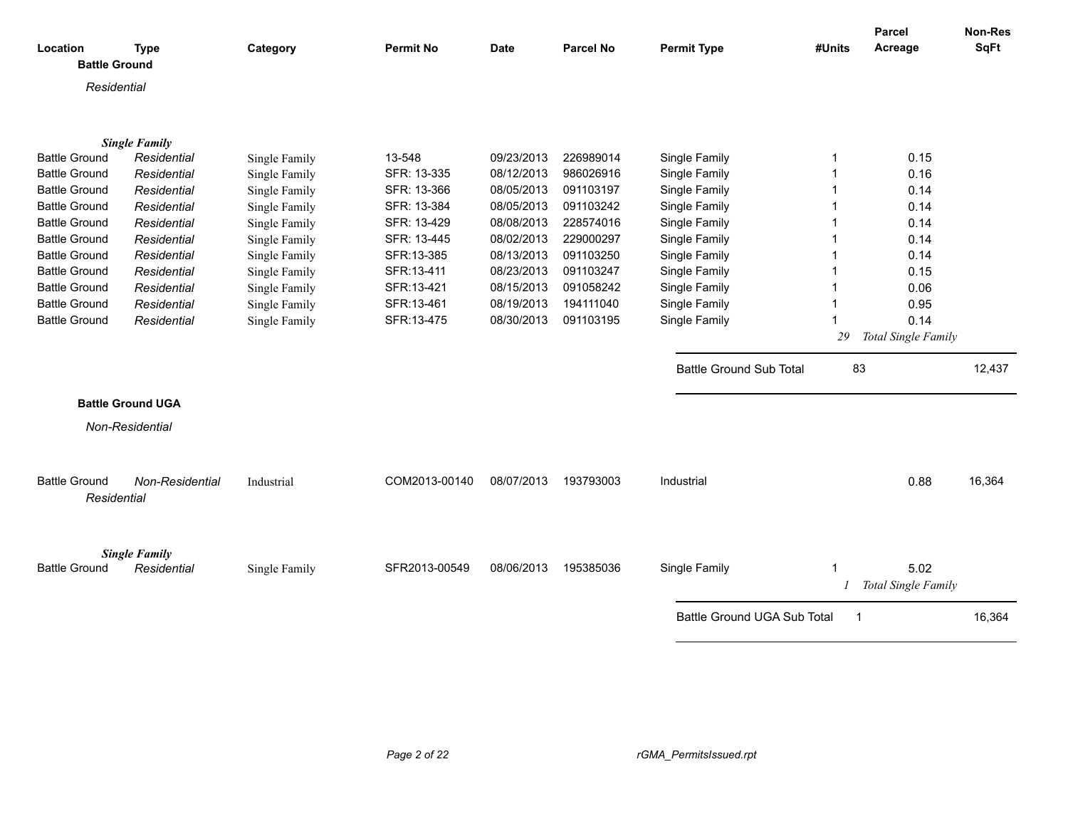| Location<br><b>Battle Ground</b> | <b>Type</b>              | Category      | <b>Permit No</b> | <b>Date</b> | <b>Parcel No</b> | <b>Permit Type</b>             | #Units | <b>Parcel</b><br>Acreage | <b>Non-Res</b><br><b>SqFt</b> |
|----------------------------------|--------------------------|---------------|------------------|-------------|------------------|--------------------------------|--------|--------------------------|-------------------------------|
|                                  |                          |               |                  |             |                  |                                |        |                          |                               |
| Residential                      |                          |               |                  |             |                  |                                |        |                          |                               |
|                                  |                          |               |                  |             |                  |                                |        |                          |                               |
|                                  | <b>Single Family</b>     |               |                  |             |                  |                                |        |                          |                               |
| <b>Battle Ground</b>             | Residential              | Single Family | 13-548           | 09/23/2013  | 226989014        | Single Family                  |        | 0.15                     |                               |
| <b>Battle Ground</b>             | Residential              | Single Family | SFR: 13-335      | 08/12/2013  | 986026916        | Single Family                  |        | 0.16                     |                               |
| <b>Battle Ground</b>             | Residential              | Single Family | SFR: 13-366      | 08/05/2013  | 091103197        | Single Family                  |        | 0.14                     |                               |
| <b>Battle Ground</b>             | Residential              | Single Family | SFR: 13-384      | 08/05/2013  | 091103242        | Single Family                  |        | 0.14                     |                               |
| <b>Battle Ground</b>             | Residential              | Single Family | SFR: 13-429      | 08/08/2013  | 228574016        | Single Family                  |        | 0.14                     |                               |
| <b>Battle Ground</b>             | Residential              | Single Family | SFR: 13-445      | 08/02/2013  | 229000297        | Single Family                  |        | 0.14                     |                               |
| <b>Battle Ground</b>             | Residential              | Single Family | SFR:13-385       | 08/13/2013  | 091103250        | Single Family                  |        | 0.14                     |                               |
| <b>Battle Ground</b>             | Residential              | Single Family | SFR:13-411       | 08/23/2013  | 091103247        | Single Family                  |        | 0.15                     |                               |
| <b>Battle Ground</b>             | Residential              | Single Family | SFR:13-421       | 08/15/2013  | 091058242        | Single Family                  |        | 0.06                     |                               |
| <b>Battle Ground</b>             | Residential              | Single Family | SFR:13-461       | 08/19/2013  | 194111040        | Single Family                  |        | 0.95                     |                               |
| <b>Battle Ground</b>             | Residential              | Single Family | SFR:13-475       | 08/30/2013  | 091103195        | Single Family                  |        | 0.14                     |                               |
|                                  |                          |               |                  |             |                  |                                | 29     | Total Single Family      |                               |
|                                  |                          |               |                  |             |                  |                                |        |                          |                               |
|                                  |                          |               |                  |             |                  | <b>Battle Ground Sub Total</b> | 83     |                          | 12,437                        |
|                                  | <b>Battle Ground UGA</b> |               |                  |             |                  |                                |        |                          |                               |
|                                  | Non-Residential          |               |                  |             |                  |                                |        |                          |                               |
|                                  |                          |               |                  |             |                  |                                |        |                          |                               |
|                                  |                          |               |                  |             |                  |                                |        |                          |                               |
| <b>Battle Ground</b>             | Non-Residential          | Industrial    | COM2013-00140    | 08/07/2013  | 193793003        | Industrial                     |        | 0.88                     | 16,364                        |
| Residential                      |                          |               |                  |             |                  |                                |        |                          |                               |
|                                  |                          |               |                  |             |                  |                                |        |                          |                               |
|                                  |                          |               |                  |             |                  |                                |        |                          |                               |
|                                  | <b>Single Family</b>     |               |                  |             |                  |                                |        |                          |                               |
| <b>Battle Ground</b>             | Residential              | Single Family | SFR2013-00549    | 08/06/2013  | 195385036        | Single Family                  |        | 5.02                     |                               |
|                                  |                          |               |                  |             |                  |                                |        | Total Single Family      |                               |
|                                  |                          |               |                  |             |                  | Battle Ground UGA Sub Total    | -1     |                          | 16,364                        |
|                                  |                          |               |                  |             |                  |                                |        |                          |                               |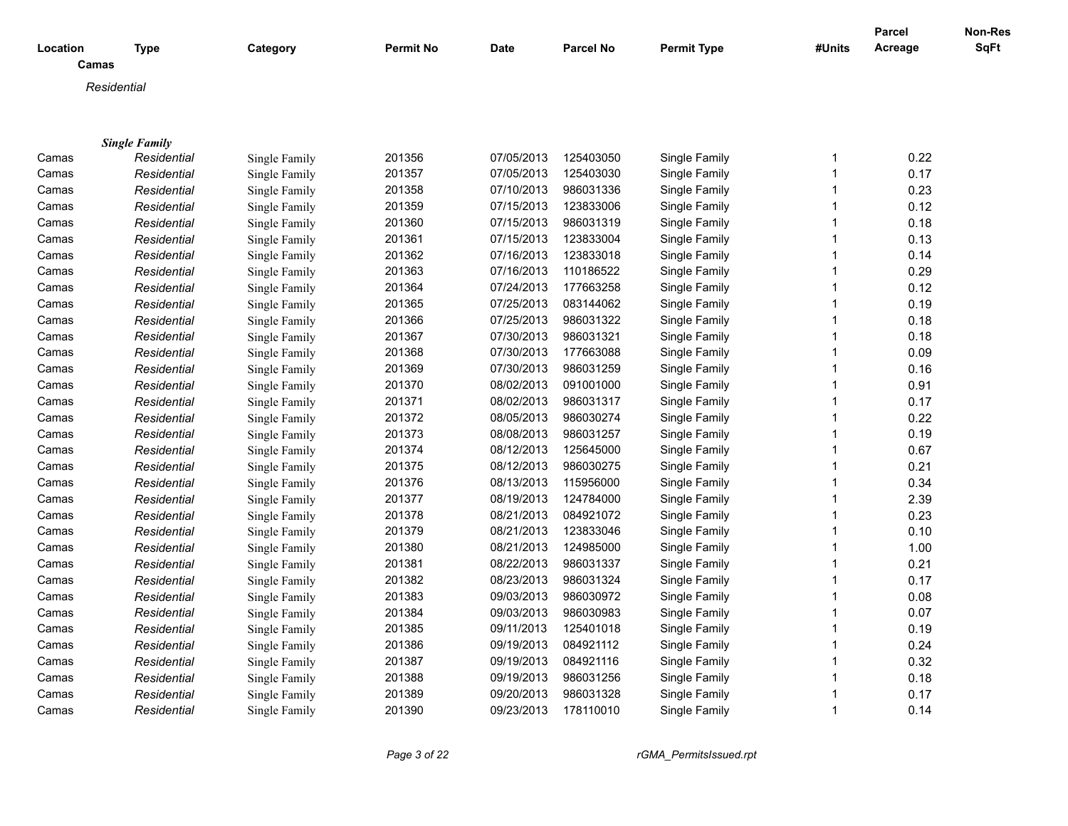|          |                      |               |                  |            |                  |                    |        | <b>Parcel</b> | Non-Res     |
|----------|----------------------|---------------|------------------|------------|------------------|--------------------|--------|---------------|-------------|
| Location | <b>Type</b>          | Category      | <b>Permit No</b> | Date       | <b>Parcel No</b> | <b>Permit Type</b> | #Units | Acreage       | <b>SqFt</b> |
| Camas    |                      |               |                  |            |                  |                    |        |               |             |
|          | Residential          |               |                  |            |                  |                    |        |               |             |
|          |                      |               |                  |            |                  |                    |        |               |             |
|          |                      |               |                  |            |                  |                    |        |               |             |
|          | <b>Single Family</b> |               |                  |            |                  |                    |        |               |             |
| Camas    | Residential          | Single Family | 201356           | 07/05/2013 | 125403050        | Single Family      | 1      | 0.22          |             |
| Camas    | Residential          | Single Family | 201357           | 07/05/2013 | 125403030        | Single Family      | 1      | 0.17          |             |
| Camas    | Residential          | Single Family | 201358           | 07/10/2013 | 986031336        | Single Family      | 1      | 0.23          |             |
| Camas    | Residential          | Single Family | 201359           | 07/15/2013 | 123833006        | Single Family      | 1      | 0.12          |             |
| Camas    | Residential          | Single Family | 201360           | 07/15/2013 | 986031319        | Single Family      | 1      | 0.18          |             |
| Camas    | Residential          | Single Family | 201361           | 07/15/2013 | 123833004        | Single Family      | 1      | 0.13          |             |
| Camas    | Residential          | Single Family | 201362           | 07/16/2013 | 123833018        | Single Family      | 1      | 0.14          |             |
| Camas    | Residential          | Single Family | 201363           | 07/16/2013 | 110186522        | Single Family      | 1      | 0.29          |             |
| Camas    | Residential          | Single Family | 201364           | 07/24/2013 | 177663258        | Single Family      | 1      | 0.12          |             |
| Camas    | Residential          | Single Family | 201365           | 07/25/2013 | 083144062        | Single Family      | 1      | 0.19          |             |
| Camas    | Residential          | Single Family | 201366           | 07/25/2013 | 986031322        | Single Family      | 1      | 0.18          |             |
| Camas    | Residential          | Single Family | 201367           | 07/30/2013 | 986031321        | Single Family      | 1      | 0.18          |             |
| Camas    | Residential          | Single Family | 201368           | 07/30/2013 | 177663088        | Single Family      | 1      | 0.09          |             |
| Camas    | Residential          | Single Family | 201369           | 07/30/2013 | 986031259        | Single Family      | 1      | 0.16          |             |
| Camas    | Residential          | Single Family | 201370           | 08/02/2013 | 091001000        | Single Family      | 1      | 0.91          |             |
| Camas    | Residential          | Single Family | 201371           | 08/02/2013 | 986031317        | Single Family      | 1      | 0.17          |             |
| Camas    | Residential          | Single Family | 201372           | 08/05/2013 | 986030274        | Single Family      | 1      | 0.22          |             |
| Camas    | Residential          | Single Family | 201373           | 08/08/2013 | 986031257        | Single Family      | 1      | 0.19          |             |
| Camas    | Residential          | Single Family | 201374           | 08/12/2013 | 125645000        | Single Family      | 1      | 0.67          |             |
| Camas    | Residential          | Single Family | 201375           | 08/12/2013 | 986030275        | Single Family      | 1      | 0.21          |             |
| Camas    | Residential          | Single Family | 201376           | 08/13/2013 | 115956000        | Single Family      | 1      | 0.34          |             |
| Camas    | Residential          | Single Family | 201377           | 08/19/2013 | 124784000        | Single Family      | 1      | 2.39          |             |
| Camas    | Residential          | Single Family | 201378           | 08/21/2013 | 084921072        | Single Family      | 1      | 0.23          |             |
| Camas    | Residential          | Single Family | 201379           | 08/21/2013 | 123833046        | Single Family      | 1      | 0.10          |             |
| Camas    | Residential          | Single Family | 201380           | 08/21/2013 | 124985000        | Single Family      | 1      | 1.00          |             |
| Camas    | Residential          | Single Family | 201381           | 08/22/2013 | 986031337        | Single Family      | 1      | 0.21          |             |
| Camas    | Residential          | Single Family | 201382           | 08/23/2013 | 986031324        | Single Family      | 1      | 0.17          |             |
| Camas    | Residential          | Single Family | 201383           | 09/03/2013 | 986030972        | Single Family      | 1      | 0.08          |             |
| Camas    | Residential          | Single Family | 201384           | 09/03/2013 | 986030983        | Single Family      | 1      | 0.07          |             |
| Camas    | Residential          | Single Family | 201385           | 09/11/2013 | 125401018        | Single Family      | 1      | 0.19          |             |
| Camas    | Residential          | Single Family | 201386           | 09/19/2013 | 084921112        | Single Family      | 1      | 0.24          |             |
| Camas    | Residential          | Single Family | 201387           | 09/19/2013 | 084921116        | Single Family      | 1      | 0.32          |             |
| Camas    | Residential          | Single Family | 201388           | 09/19/2013 | 986031256        | Single Family      | 1      | 0.18          |             |
| Camas    | Residential          | Single Family | 201389           | 09/20/2013 | 986031328        | Single Family      | 1      | 0.17          |             |
| Camas    | Residential          | Single Family | 201390           | 09/23/2013 | 178110010        | Single Family      | 1      | 0.14          |             |

*Page 3 of 22 rGMA\_PermitsIssued.rpt*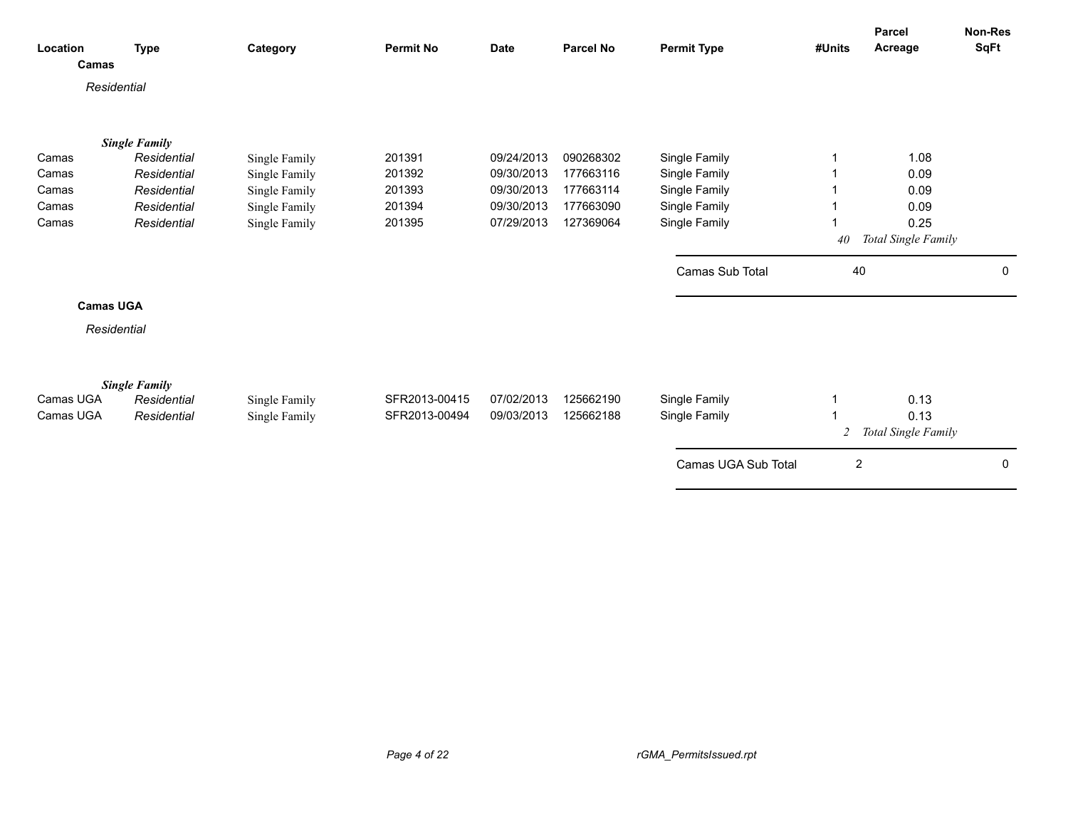| Location<br>Camas      | <b>Type</b>                                        | Category                       | <b>Permit No</b>               | <b>Date</b>              | <b>Parcel No</b>       | <b>Permit Type</b>             | #Units           | Parcel<br>Acreage   | Non-Res<br><b>SqFt</b> |
|------------------------|----------------------------------------------------|--------------------------------|--------------------------------|--------------------------|------------------------|--------------------------------|------------------|---------------------|------------------------|
| Residential            |                                                    |                                |                                |                          |                        |                                |                  |                     |                        |
|                        | <b>Single Family</b>                               |                                |                                |                          |                        |                                |                  |                     |                        |
| Camas                  | Residential                                        | Single Family                  | 201391                         | 09/24/2013               | 090268302              | Single Family                  |                  | 1.08                |                        |
| Camas                  | Residential                                        | Single Family                  | 201392                         | 09/30/2013               | 177663116              | Single Family                  |                  | 0.09                |                        |
| Camas                  | Residential                                        | Single Family                  | 201393                         | 09/30/2013               | 177663114              | Single Family                  |                  | 0.09                |                        |
| Camas                  | Residential                                        | Single Family                  | 201394                         | 09/30/2013               | 177663090              | Single Family                  |                  | 0.09                |                        |
| Camas                  | Residential                                        | Single Family                  | 201395                         | 07/29/2013               | 127369064              | Single Family                  |                  | 0.25                |                        |
|                        |                                                    |                                |                                |                          |                        |                                | 40               | Total Single Family |                        |
|                        |                                                    |                                |                                |                          |                        | Camas Sub Total                | 40               |                     | 0                      |
| <b>Camas UGA</b>       |                                                    |                                |                                |                          |                        |                                |                  |                     |                        |
| Residential            |                                                    |                                |                                |                          |                        |                                |                  |                     |                        |
| Camas UGA<br>Camas UGA | <b>Single Family</b><br>Residential<br>Residential | Single Family<br>Single Family | SFR2013-00415<br>SFR2013-00494 | 07/02/2013<br>09/03/2013 | 125662190<br>125662188 | Single Family<br>Single Family |                  | 0.13<br>0.13        |                        |
|                        |                                                    |                                |                                |                          |                        |                                | 2                | Total Single Family |                        |
|                        |                                                    |                                |                                |                          |                        | Camas UGA Sub Total            | $\boldsymbol{2}$ |                     | $\mathbf 0$            |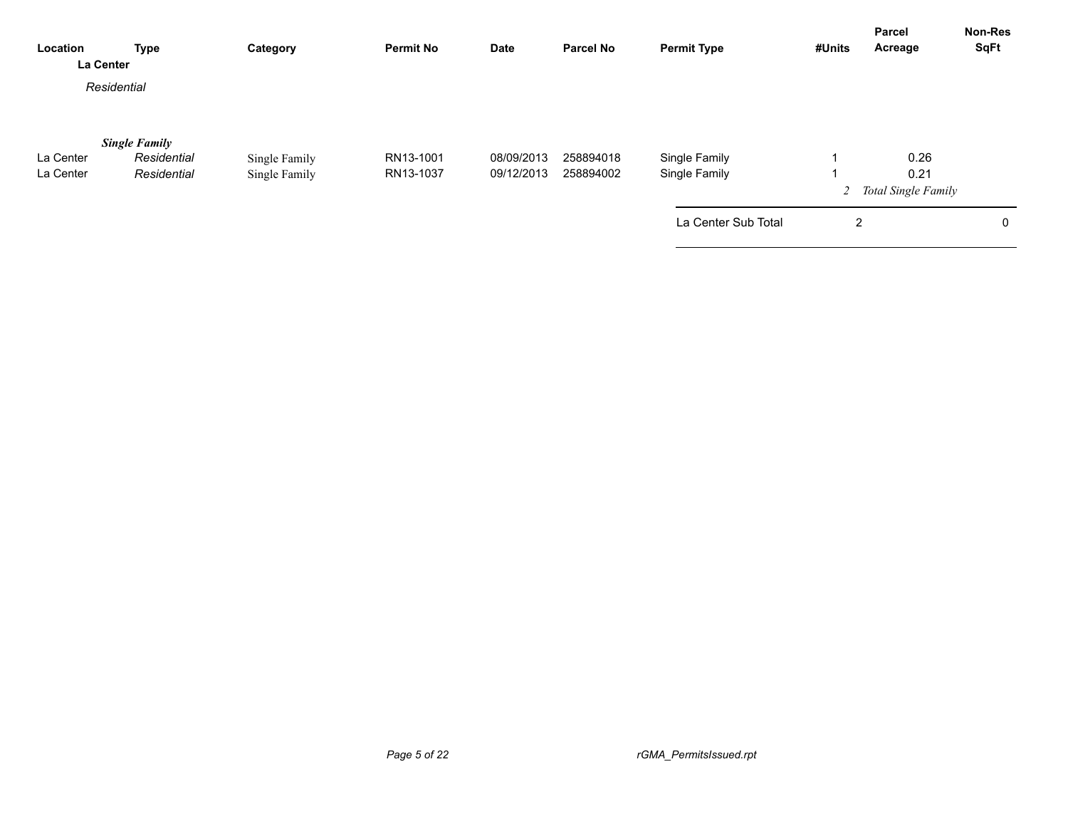| Location<br>La Center | <b>Type</b>                         | Category      | <b>Permit No</b> | <b>Date</b> | <b>Parcel No</b> | <b>Permit Type</b>  | #Units         | <b>Parcel</b><br>Acreage      | <b>Non-Res</b><br><b>SqFt</b> |
|-----------------------|-------------------------------------|---------------|------------------|-------------|------------------|---------------------|----------------|-------------------------------|-------------------------------|
|                       | Residential                         |               |                  |             |                  |                     |                |                               |                               |
| La Center             | <b>Single Family</b><br>Residential | Single Family | RN13-1001        | 08/09/2013  | 258894018        | Single Family       |                | 0.26                          |                               |
| La Center             | Residential                         | Single Family | RN13-1037        | 09/12/2013  | 258894002        | Single Family       |                | 0.21<br>2 Total Single Family |                               |
|                       |                                     |               |                  |             |                  | La Center Sub Total | $\overline{2}$ |                               | 0                             |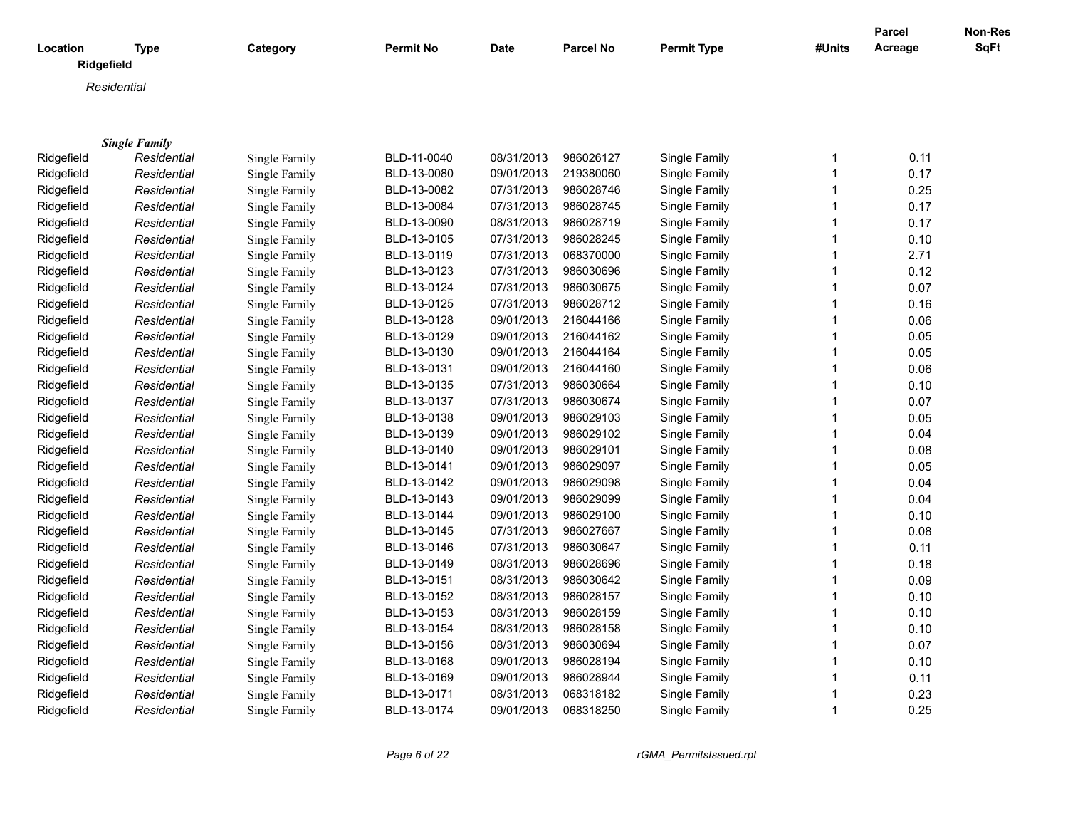|                        |                      |               |                  |             |                  |                    |              | Parcel  | Non-Res     |
|------------------------|----------------------|---------------|------------------|-------------|------------------|--------------------|--------------|---------|-------------|
| Location<br>Ridgefield | <b>Type</b>          | Category      | <b>Permit No</b> | <b>Date</b> | <b>Parcel No</b> | <b>Permit Type</b> | #Units       | Acreage | <b>SqFt</b> |
|                        | Residential          |               |                  |             |                  |                    |              |         |             |
|                        |                      |               |                  |             |                  |                    |              |         |             |
|                        |                      |               |                  |             |                  |                    |              |         |             |
|                        | <b>Single Family</b> |               |                  |             |                  |                    |              |         |             |
| Ridgefield             | Residential          | Single Family | BLD-11-0040      | 08/31/2013  | 986026127        | Single Family      | 1            | 0.11    |             |
| Ridgefield             | Residential          | Single Family | BLD-13-0080      | 09/01/2013  | 219380060        | Single Family      | 1            | 0.17    |             |
| Ridgefield             | Residential          | Single Family | BLD-13-0082      | 07/31/2013  | 986028746        | Single Family      | 1            | 0.25    |             |
| Ridgefield             | Residential          | Single Family | BLD-13-0084      | 07/31/2013  | 986028745        | Single Family      |              | 0.17    |             |
| Ridgefield             | Residential          | Single Family | BLD-13-0090      | 08/31/2013  | 986028719        | Single Family      | 1            | 0.17    |             |
| Ridgefield             | Residential          | Single Family | BLD-13-0105      | 07/31/2013  | 986028245        | Single Family      | 1            | 0.10    |             |
| Ridgefield             | Residential          | Single Family | BLD-13-0119      | 07/31/2013  | 068370000        | Single Family      | 1            | 2.71    |             |
| Ridgefield             | Residential          | Single Family | BLD-13-0123      | 07/31/2013  | 986030696        | Single Family      | 1            | 0.12    |             |
| Ridgefield             | Residential          | Single Family | BLD-13-0124      | 07/31/2013  | 986030675        | Single Family      | 1            | 0.07    |             |
| Ridgefield             | Residential          | Single Family | BLD-13-0125      | 07/31/2013  | 986028712        | Single Family      | 1            | 0.16    |             |
| Ridgefield             | Residential          | Single Family | BLD-13-0128      | 09/01/2013  | 216044166        | Single Family      | 1            | 0.06    |             |
| Ridgefield             | Residential          | Single Family | BLD-13-0129      | 09/01/2013  | 216044162        | Single Family      |              | 0.05    |             |
| Ridgefield             | Residential          | Single Family | BLD-13-0130      | 09/01/2013  | 216044164        | Single Family      | 1            | 0.05    |             |
| Ridgefield             | Residential          | Single Family | BLD-13-0131      | 09/01/2013  | 216044160        | Single Family      | 1            | 0.06    |             |
| Ridgefield             | Residential          | Single Family | BLD-13-0135      | 07/31/2013  | 986030664        | Single Family      | 1            | 0.10    |             |
| Ridgefield             | Residential          | Single Family | BLD-13-0137      | 07/31/2013  | 986030674        | Single Family      | 1            | 0.07    |             |
| Ridgefield             | Residential          | Single Family | BLD-13-0138      | 09/01/2013  | 986029103        | Single Family      | $\mathbf 1$  | 0.05    |             |
| Ridgefield             | Residential          | Single Family | BLD-13-0139      | 09/01/2013  | 986029102        | Single Family      | 1            | 0.04    |             |
| Ridgefield             | Residential          | Single Family | BLD-13-0140      | 09/01/2013  | 986029101        | Single Family      | 1            | 0.08    |             |
| Ridgefield             | Residential          | Single Family | BLD-13-0141      | 09/01/2013  | 986029097        | Single Family      | 1            | 0.05    |             |
| Ridgefield             | Residential          | Single Family | BLD-13-0142      | 09/01/2013  | 986029098        | Single Family      | 1            | 0.04    |             |
| Ridgefield             | Residential          | Single Family | BLD-13-0143      | 09/01/2013  | 986029099        | Single Family      | 1            | 0.04    |             |
| Ridgefield             | Residential          | Single Family | BLD-13-0144      | 09/01/2013  | 986029100        | Single Family      | 1            | 0.10    |             |
| Ridgefield             | Residential          | Single Family | BLD-13-0145      | 07/31/2013  | 986027667        | Single Family      | 1            | 0.08    |             |
| Ridgefield             | Residential          | Single Family | BLD-13-0146      | 07/31/2013  | 986030647        | Single Family      | $\mathbf{1}$ | 0.11    |             |
| Ridgefield             | Residential          | Single Family | BLD-13-0149      | 08/31/2013  | 986028696        | Single Family      | 1            | 0.18    |             |
| Ridgefield             | Residential          | Single Family | BLD-13-0151      | 08/31/2013  | 986030642        | Single Family      | 1            | 0.09    |             |
| Ridgefield             | Residential          | Single Family | BLD-13-0152      | 08/31/2013  | 986028157        | Single Family      | 1            | 0.10    |             |
| Ridgefield             | Residential          | Single Family | BLD-13-0153      | 08/31/2013  | 986028159        | Single Family      | 1            | 0.10    |             |
| Ridgefield             | Residential          | Single Family | BLD-13-0154      | 08/31/2013  | 986028158        | Single Family      | 1            | 0.10    |             |
| Ridgefield             | Residential          | Single Family | BLD-13-0156      | 08/31/2013  | 986030694        | Single Family      | 1            | 0.07    |             |
| Ridgefield             | Residential          | Single Family | BLD-13-0168      | 09/01/2013  | 986028194        | Single Family      | 1            | 0.10    |             |
| Ridgefield             | Residential          | Single Family | BLD-13-0169      | 09/01/2013  | 986028944        | Single Family      | 1            | 0.11    |             |
| Ridgefield             | Residential          | Single Family | BLD-13-0171      | 08/31/2013  | 068318182        | Single Family      | 1            | 0.23    |             |
| Ridgefield             | Residential          | Single Family | BLD-13-0174      | 09/01/2013  | 068318250        | Single Family      | 1            | 0.25    |             |

*Page 6 of 22 rGMA\_PermitsIssued.rpt*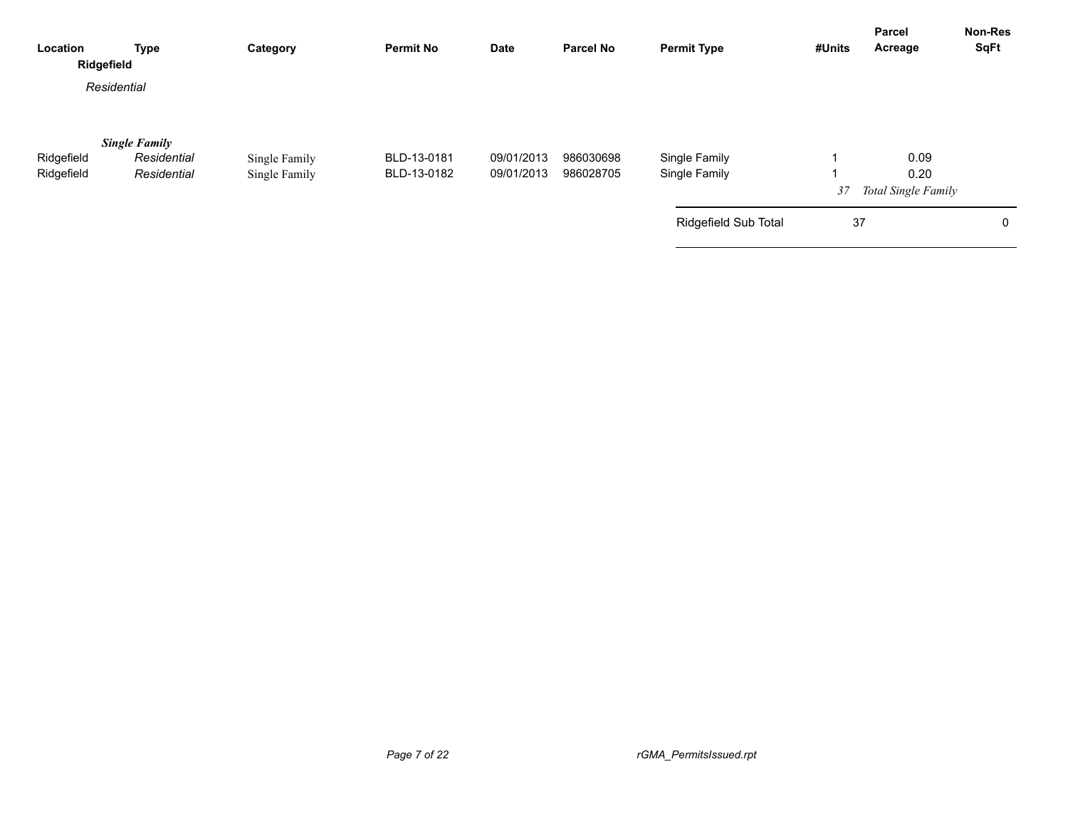| Location<br>Ridgefield   | <b>Type</b>                                        | Category                       | <b>Permit No</b>           | Date                     | <b>Parcel No</b>       | <b>Permit Type</b>             | #Units | <b>Parcel</b><br>Acreage                   | Non-Res<br><b>SqFt</b> |
|--------------------------|----------------------------------------------------|--------------------------------|----------------------------|--------------------------|------------------------|--------------------------------|--------|--------------------------------------------|------------------------|
|                          | Residential                                        |                                |                            |                          |                        |                                |        |                                            |                        |
| Ridgefield<br>Ridgefield | <b>Single Family</b><br>Residential<br>Residential | Single Family<br>Single Family | BLD-13-0181<br>BLD-13-0182 | 09/01/2013<br>09/01/2013 | 986030698<br>986028705 | Single Family<br>Single Family | 37     | 0.09<br>0.20<br><b>Total Single Family</b> |                        |
|                          |                                                    |                                |                            |                          |                        | Ridgefield Sub Total           | 37     |                                            | 0                      |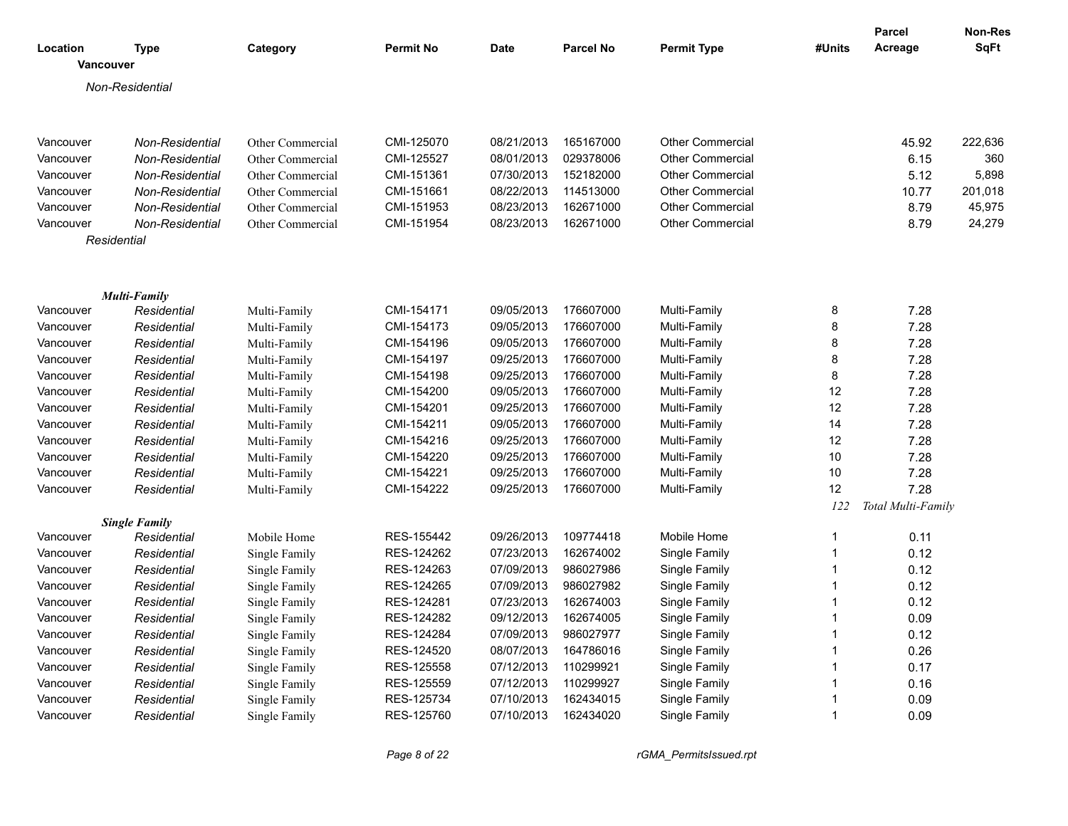|                  |                      |                                                                                                                                                                                                                                                                                                                                                                                                                                                                                                                                                                                      |                  |             |                  |                         |                | <b>Parcel</b>      | <b>Non-Res</b> |
|------------------|----------------------|--------------------------------------------------------------------------------------------------------------------------------------------------------------------------------------------------------------------------------------------------------------------------------------------------------------------------------------------------------------------------------------------------------------------------------------------------------------------------------------------------------------------------------------------------------------------------------------|------------------|-------------|------------------|-------------------------|----------------|--------------------|----------------|
| Location         | <b>Type</b>          | Category                                                                                                                                                                                                                                                                                                                                                                                                                                                                                                                                                                             | <b>Permit No</b> | <b>Date</b> | <b>Parcel No</b> | <b>Permit Type</b>      | #Units         | Acreage            | SqFt           |
| <b>Vancouver</b> |                      |                                                                                                                                                                                                                                                                                                                                                                                                                                                                                                                                                                                      |                  |             |                  |                         |                |                    |                |
|                  | Non-Residential      |                                                                                                                                                                                                                                                                                                                                                                                                                                                                                                                                                                                      |                  |             |                  |                         |                |                    |                |
|                  |                      |                                                                                                                                                                                                                                                                                                                                                                                                                                                                                                                                                                                      |                  |             |                  |                         |                |                    |                |
|                  |                      |                                                                                                                                                                                                                                                                                                                                                                                                                                                                                                                                                                                      |                  |             |                  |                         |                |                    |                |
| Vancouver        | Non-Residential      | Other Commercial                                                                                                                                                                                                                                                                                                                                                                                                                                                                                                                                                                     | CMI-125070       | 08/21/2013  | 165167000        | <b>Other Commercial</b> |                | 45.92              | 222,636        |
| Vancouver        | Non-Residential      | Other Commercial                                                                                                                                                                                                                                                                                                                                                                                                                                                                                                                                                                     | CMI-125527       | 08/01/2013  | 029378006        | Other Commercial        |                | 6.15               | 360            |
| Vancouver        | Non-Residential      | Other Commercial                                                                                                                                                                                                                                                                                                                                                                                                                                                                                                                                                                     | CMI-151361       | 07/30/2013  | 152182000        | <b>Other Commercial</b> |                | 5.12               | 5,898          |
| Vancouver        | Non-Residential      | Other Commercial                                                                                                                                                                                                                                                                                                                                                                                                                                                                                                                                                                     | CMI-151661       | 08/22/2013  | 114513000        | <b>Other Commercial</b> |                | 10.77              | 201,018        |
| Vancouver        | Non-Residential      | Other Commercial                                                                                                                                                                                                                                                                                                                                                                                                                                                                                                                                                                     | CMI-151953       | 08/23/2013  | 162671000        | <b>Other Commercial</b> |                | 8.79               | 45,975         |
| Vancouver        | Non-Residential      | Other Commercial                                                                                                                                                                                                                                                                                                                                                                                                                                                                                                                                                                     | CMI-151954       | 08/23/2013  | 162671000        | <b>Other Commercial</b> |                | 8.79               | 24,279         |
|                  | Residential          |                                                                                                                                                                                                                                                                                                                                                                                                                                                                                                                                                                                      |                  |             |                  |                         |                |                    |                |
|                  |                      |                                                                                                                                                                                                                                                                                                                                                                                                                                                                                                                                                                                      |                  |             |                  |                         |                |                    |                |
|                  |                      |                                                                                                                                                                                                                                                                                                                                                                                                                                                                                                                                                                                      |                  |             |                  |                         |                |                    |                |
|                  | <b>Multi-Family</b>  |                                                                                                                                                                                                                                                                                                                                                                                                                                                                                                                                                                                      |                  |             |                  |                         |                |                    |                |
| Vancouver        | Residential          |                                                                                                                                                                                                                                                                                                                                                                                                                                                                                                                                                                                      |                  |             |                  |                         | 8              | 7.28               |                |
| Vancouver        | Residential          |                                                                                                                                                                                                                                                                                                                                                                                                                                                                                                                                                                                      |                  |             |                  |                         | 8              | 7.28               |                |
| Vancouver        | Residential          |                                                                                                                                                                                                                                                                                                                                                                                                                                                                                                                                                                                      |                  |             |                  |                         | 8              | 7.28               |                |
| Vancouver        | Residential          | Multi-Family                                                                                                                                                                                                                                                                                                                                                                                                                                                                                                                                                                         |                  |             |                  |                         | 8              | 7.28               |                |
| Vancouver        | Residential          | CMI-154171<br>Multi-Family<br>Multi-Family<br>09/05/2013<br>176607000<br>CMI-154173<br>09/05/2013<br>176607000<br>Multi-Family<br>Multi-Family<br>CMI-154196<br>09/05/2013<br>176607000<br>Multi-Family<br>Multi-Family<br>09/25/2013<br>176607000<br>CMI-154197<br>Multi-Family<br>CMI-154198<br>09/25/2013<br>176607000<br>Multi-Family<br>Multi-Family<br>CMI-154200<br>09/05/2013<br>176607000<br>Multi-Family<br>Multi-Family<br>CMI-154201<br>09/25/2013<br>176607000<br>Multi-Family<br>Multi-Family<br>09/05/2013<br>176607000<br>Multi-Family<br>CMI-154211<br>Multi-Family |                  | 8           | 7.28             |                         |                |                    |                |
| Vancouver        | Residential          |                                                                                                                                                                                                                                                                                                                                                                                                                                                                                                                                                                                      |                  |             |                  |                         | 12             | 7.28               |                |
| Vancouver        | Residential          |                                                                                                                                                                                                                                                                                                                                                                                                                                                                                                                                                                                      |                  |             |                  |                         | 12             | 7.28               |                |
| Vancouver        | Residential          |                                                                                                                                                                                                                                                                                                                                                                                                                                                                                                                                                                                      |                  |             |                  |                         | 14             | 7.28               |                |
| Vancouver        | Residential          | Multi-Family                                                                                                                                                                                                                                                                                                                                                                                                                                                                                                                                                                         | CMI-154216       | 09/25/2013  | 176607000        | Multi-Family            | 12             | 7.28               |                |
| Vancouver        | Residential          | Multi-Family                                                                                                                                                                                                                                                                                                                                                                                                                                                                                                                                                                         | CMI-154220       | 09/25/2013  | 176607000        | Multi-Family            | 10             | 7.28               |                |
| Vancouver        | Residential          | Multi-Family                                                                                                                                                                                                                                                                                                                                                                                                                                                                                                                                                                         | CMI-154221       | 09/25/2013  | 176607000        | Multi-Family            | 10             | 7.28               |                |
| Vancouver        | Residential          | Multi-Family                                                                                                                                                                                                                                                                                                                                                                                                                                                                                                                                                                         | CMI-154222       | 09/25/2013  | 176607000        | Multi-Family            | 12             | 7.28               |                |
|                  |                      |                                                                                                                                                                                                                                                                                                                                                                                                                                                                                                                                                                                      |                  |             |                  |                         | 122            | Total Multi-Family |                |
|                  | <b>Single Family</b> |                                                                                                                                                                                                                                                                                                                                                                                                                                                                                                                                                                                      |                  |             |                  |                         |                |                    |                |
| Vancouver        | Residential          | Mobile Home                                                                                                                                                                                                                                                                                                                                                                                                                                                                                                                                                                          | RES-155442       | 09/26/2013  | 109774418        | Mobile Home             | $\mathbf{1}$   | 0.11               |                |
| Vancouver        | Residential          | Single Family                                                                                                                                                                                                                                                                                                                                                                                                                                                                                                                                                                        | RES-124262       | 07/23/2013  | 162674002        | Single Family           | $\mathbf 1$    | 0.12               |                |
| Vancouver        | Residential          | Single Family                                                                                                                                                                                                                                                                                                                                                                                                                                                                                                                                                                        | RES-124263       | 07/09/2013  | 986027986        | Single Family           | $\mathbf{1}$   | 0.12               |                |
| Vancouver        | Residential          | Single Family                                                                                                                                                                                                                                                                                                                                                                                                                                                                                                                                                                        | RES-124265       | 07/09/2013  | 986027982        | Single Family           | $\mathbf{1}$   | 0.12               |                |
| Vancouver        | Residential          | Single Family                                                                                                                                                                                                                                                                                                                                                                                                                                                                                                                                                                        | RES-124281       | 07/23/2013  | 162674003        | Single Family           | $\mathbf{1}$   | 0.12               |                |
| Vancouver        | Residential          | Single Family                                                                                                                                                                                                                                                                                                                                                                                                                                                                                                                                                                        | RES-124282       | 09/12/2013  | 162674005        | Single Family           | $\mathbf{1}$   | 0.09               |                |
| Vancouver        | Residential          | Single Family                                                                                                                                                                                                                                                                                                                                                                                                                                                                                                                                                                        | RES-124284       | 07/09/2013  | 986027977        | Single Family           | $\mathbf{1}$   | 0.12               |                |
| Vancouver        | Residential          | Single Family                                                                                                                                                                                                                                                                                                                                                                                                                                                                                                                                                                        | RES-124520       | 08/07/2013  | 164786016        | Single Family           | $\mathbf{1}$   | 0.26               |                |
| Vancouver        | Residential          | Single Family                                                                                                                                                                                                                                                                                                                                                                                                                                                                                                                                                                        | RES-125558       | 07/12/2013  | 110299921        | Single Family           | $\mathbf{1}$   | 0.17               |                |
| Vancouver        | Residential          | Single Family                                                                                                                                                                                                                                                                                                                                                                                                                                                                                                                                                                        | RES-125559       | 07/12/2013  | 110299927        | Single Family           | $\mathbf{1}$   | 0.16               |                |
| Vancouver        | Residential          | Single Family                                                                                                                                                                                                                                                                                                                                                                                                                                                                                                                                                                        | RES-125734       | 07/10/2013  | 162434015        | Single Family           | $\overline{1}$ | 0.09               |                |
| Vancouver        | Residential          | Single Family                                                                                                                                                                                                                                                                                                                                                                                                                                                                                                                                                                        | RES-125760       | 07/10/2013  | 162434020        | Single Family           | $\mathbf{1}$   | 0.09               |                |
|                  |                      |                                                                                                                                                                                                                                                                                                                                                                                                                                                                                                                                                                                      |                  |             |                  |                         |                |                    |                |

*Page 8 of 22 rGMA\_PermitsIssued.rpt*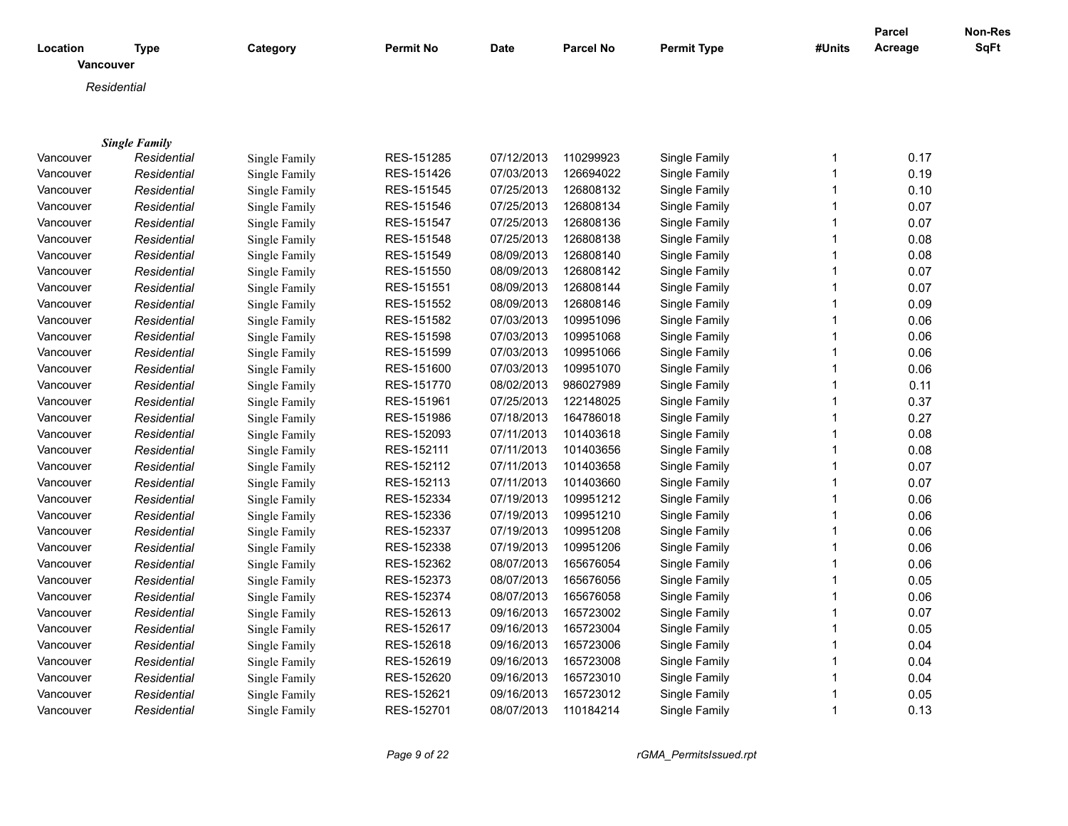| Location  |                      |               | <b>Permit No</b> | <b>Date</b> | <b>Parcel No</b> | <b>Permit Type</b> | #Units       | <b>Parcel</b><br>Acreage | Non-Res<br>SqFt |
|-----------|----------------------|---------------|------------------|-------------|------------------|--------------------|--------------|--------------------------|-----------------|
| Vancouver | <b>Type</b>          | Category      |                  |             |                  |                    |              |                          |                 |
|           | Residential          |               |                  |             |                  |                    |              |                          |                 |
|           |                      |               |                  |             |                  |                    |              |                          |                 |
|           |                      |               |                  |             |                  |                    |              |                          |                 |
|           | <b>Single Family</b> |               |                  |             |                  |                    |              |                          |                 |
| Vancouver | Residential          | Single Family | RES-151285       | 07/12/2013  | 110299923        | Single Family      | 1            | 0.17                     |                 |
| Vancouver | Residential          | Single Family | RES-151426       | 07/03/2013  | 126694022        | Single Family      | $\mathbf{1}$ | 0.19                     |                 |
| Vancouver | Residential          | Single Family | RES-151545       | 07/25/2013  | 126808132        | Single Family      | $\mathbf 1$  | 0.10                     |                 |
| Vancouver | Residential          | Single Family | RES-151546       | 07/25/2013  | 126808134        | Single Family      | $\mathbf{1}$ | 0.07                     |                 |
| Vancouver | Residential          | Single Family | RES-151547       | 07/25/2013  | 126808136        | Single Family      | $\mathbf{1}$ | 0.07                     |                 |
| Vancouver | Residential          | Single Family | RES-151548       | 07/25/2013  | 126808138        | Single Family      | 1            | 0.08                     |                 |
| Vancouver | Residential          | Single Family | RES-151549       | 08/09/2013  | 126808140        | Single Family      | $\mathbf 1$  | 0.08                     |                 |
| Vancouver | Residential          | Single Family | RES-151550       | 08/09/2013  | 126808142        | Single Family      | $\mathbf{1}$ | 0.07                     |                 |
| Vancouver | Residential          | Single Family | RES-151551       | 08/09/2013  | 126808144        | Single Family      | $\mathbf{1}$ | 0.07                     |                 |
| Vancouver | Residential          | Single Family | RES-151552       | 08/09/2013  | 126808146        | Single Family      | 1            | 0.09                     |                 |
| Vancouver | Residential          | Single Family | RES-151582       | 07/03/2013  | 109951096        | Single Family      | 1            | 0.06                     |                 |
| Vancouver | Residential          | Single Family | RES-151598       | 07/03/2013  | 109951068        | Single Family      | 1            | 0.06                     |                 |
| Vancouver | Residential          | Single Family | RES-151599       | 07/03/2013  | 109951066        | Single Family      | 1            | 0.06                     |                 |
| Vancouver | Residential          | Single Family | RES-151600       | 07/03/2013  | 109951070        | Single Family      | 1            | 0.06                     |                 |
| Vancouver | Residential          | Single Family | RES-151770       | 08/02/2013  | 986027989        | Single Family      | 1            | 0.11                     |                 |
| Vancouver | Residential          | Single Family | RES-151961       | 07/25/2013  | 122148025        | Single Family      |              | 0.37                     |                 |
| Vancouver | Residential          | Single Family | RES-151986       | 07/18/2013  | 164786018        | Single Family      | $\mathbf{1}$ | 0.27                     |                 |
| Vancouver | Residential          | Single Family | RES-152093       | 07/11/2013  | 101403618        | Single Family      | 1            | 0.08                     |                 |
| Vancouver | Residential          | Single Family | RES-152111       | 07/11/2013  | 101403656        | Single Family      | $\mathbf{1}$ | 0.08                     |                 |
| Vancouver | Residential          | Single Family | RES-152112       | 07/11/2013  | 101403658        | Single Family      | $\mathbf{1}$ | 0.07                     |                 |
| Vancouver | Residential          | Single Family | RES-152113       | 07/11/2013  | 101403660        | Single Family      | $\mathbf{1}$ | 0.07                     |                 |
| Vancouver | Residential          | Single Family | RES-152334       | 07/19/2013  | 109951212        | Single Family      | $\mathbf{1}$ | 0.06                     |                 |
| Vancouver | Residential          | Single Family | RES-152336       | 07/19/2013  | 109951210        | Single Family      | $\mathbf{1}$ | 0.06                     |                 |
| Vancouver | Residential          | Single Family | RES-152337       | 07/19/2013  | 109951208        | Single Family      | $\mathbf{1}$ | 0.06                     |                 |
| Vancouver | Residential          | Single Family | RES-152338       | 07/19/2013  | 109951206        | Single Family      | $\mathbf{1}$ | 0.06                     |                 |
| Vancouver | Residential          | Single Family | RES-152362       | 08/07/2013  | 165676054        | Single Family      | $\mathbf 1$  | 0.06                     |                 |
| Vancouver | Residential          | Single Family | RES-152373       | 08/07/2013  | 165676056        | Single Family      | $\mathbf{1}$ | 0.05                     |                 |
| Vancouver | Residential          | Single Family | RES-152374       | 08/07/2013  | 165676058        | Single Family      | $\mathbf{1}$ | 0.06                     |                 |
| Vancouver | Residential          | Single Family | RES-152613       | 09/16/2013  | 165723002        | Single Family      | $\mathbf{1}$ | 0.07                     |                 |
| Vancouver | Residential          | Single Family | RES-152617       | 09/16/2013  | 165723004        | Single Family      | $\mathbf 1$  | 0.05                     |                 |
| Vancouver | Residential          | Single Family | RES-152618       | 09/16/2013  | 165723006        | Single Family      | $\mathbf{1}$ | 0.04                     |                 |
| Vancouver | Residential          | Single Family | RES-152619       | 09/16/2013  | 165723008        | Single Family      | $\mathbf{1}$ | 0.04                     |                 |
| Vancouver | Residential          | Single Family | RES-152620       | 09/16/2013  | 165723010        | Single Family      | $\mathbf{1}$ | 0.04                     |                 |
| Vancouver | Residential          | Single Family | RES-152621       | 09/16/2013  | 165723012        | Single Family      | $\mathbf 1$  | 0.05                     |                 |
| Vancouver | Residential          | Single Family | RES-152701       | 08/07/2013  | 110184214        | Single Family      | $\mathbf{1}$ | 0.13                     |                 |
|           |                      |               |                  |             |                  |                    |              |                          |                 |

*Page 9 of 22 rGMA\_PermitsIssued.rpt*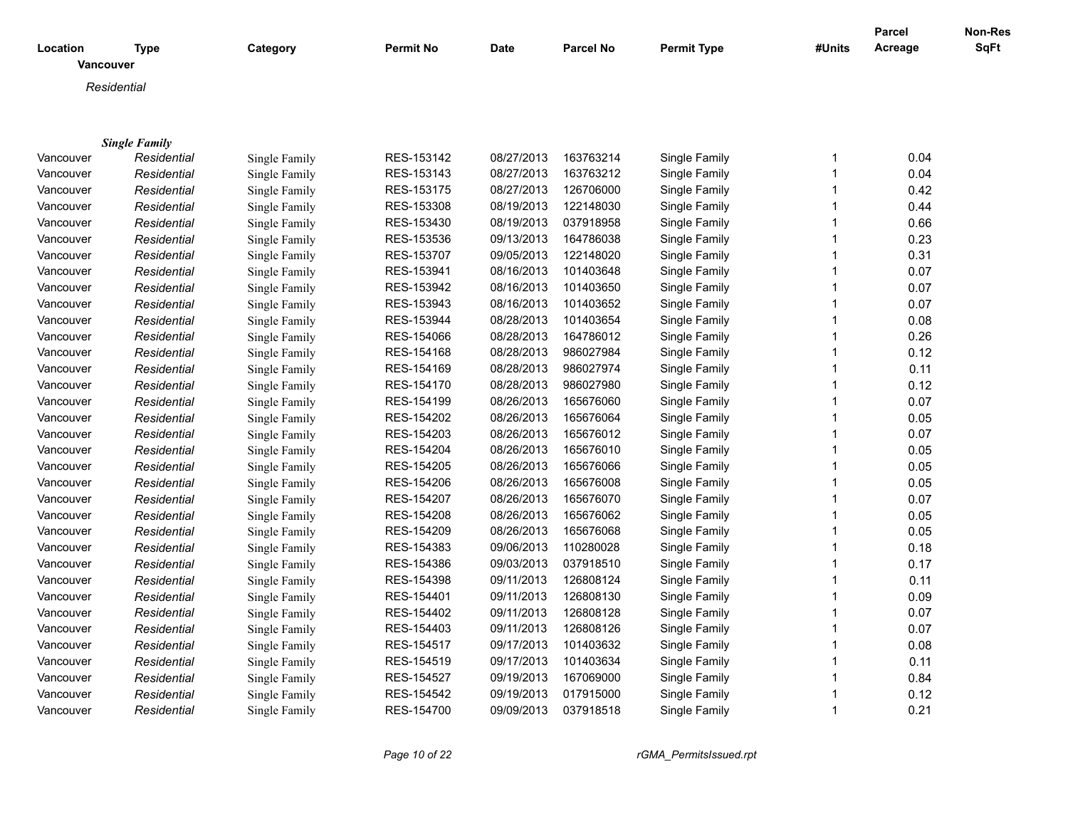| Location  | Type                 | Category      | <b>Permit No</b> | <b>Date</b> | <b>Parcel No</b> | <b>Permit Type</b> | #Units       | Parcel<br>Acreage | Non-Res<br><b>SqFt</b> |
|-----------|----------------------|---------------|------------------|-------------|------------------|--------------------|--------------|-------------------|------------------------|
| Vancouver |                      |               |                  |             |                  |                    |              |                   |                        |
|           | Residential          |               |                  |             |                  |                    |              |                   |                        |
|           |                      |               |                  |             |                  |                    |              |                   |                        |
|           |                      |               |                  |             |                  |                    |              |                   |                        |
|           | <b>Single Family</b> |               |                  |             |                  |                    |              |                   |                        |
| Vancouver | Residential          | Single Family | RES-153142       | 08/27/2013  | 163763214        | Single Family      | 1            | 0.04              |                        |
| Vancouver | Residential          | Single Family | RES-153143       | 08/27/2013  | 163763212        | Single Family      | $\mathbf 1$  | 0.04              |                        |
| Vancouver | Residential          | Single Family | RES-153175       | 08/27/2013  | 126706000        | Single Family      | $\mathbf{1}$ | 0.42              |                        |
| Vancouver | Residential          | Single Family | RES-153308       | 08/19/2013  | 122148030        | Single Family      | -1           | 0.44              |                        |
| Vancouver | Residential          | Single Family | RES-153430       | 08/19/2013  | 037918958        | Single Family      | $\mathbf 1$  | 0.66              |                        |
| Vancouver | Residential          | Single Family | RES-153536       | 09/13/2013  | 164786038        | Single Family      |              | 0.23              |                        |
| Vancouver | Residential          | Single Family | RES-153707       | 09/05/2013  | 122148020        | Single Family      | $\mathbf 1$  | 0.31              |                        |
| Vancouver | Residential          | Single Family | RES-153941       | 08/16/2013  | 101403648        | Single Family      | -1           | 0.07              |                        |
| Vancouver | Residential          | Single Family | RES-153942       | 08/16/2013  | 101403650        | Single Family      | -1           | 0.07              |                        |
| Vancouver | Residential          | Single Family | RES-153943       | 08/16/2013  | 101403652        | Single Family      |              | 0.07              |                        |
| Vancouver | Residential          | Single Family | RES-153944       | 08/28/2013  | 101403654        | Single Family      | 1            | 0.08              |                        |
| Vancouver | Residential          | Single Family | RES-154066       | 08/28/2013  | 164786012        | Single Family      |              | 0.26              |                        |
| Vancouver | Residential          | Single Family | RES-154168       | 08/28/2013  | 986027984        | Single Family      |              | 0.12              |                        |
| Vancouver | Residential          | Single Family | RES-154169       | 08/28/2013  | 986027974        | Single Family      |              | 0.11              |                        |
| Vancouver | Residential          | Single Family | RES-154170       | 08/28/2013  | 986027980        | Single Family      | 1            | 0.12              |                        |
| Vancouver | Residential          | Single Family | RES-154199       | 08/26/2013  | 165676060        | Single Family      |              | 0.07              |                        |
| Vancouver | Residential          | Single Family | RES-154202       | 08/26/2013  | 165676064        | Single Family      | 1            | 0.05              |                        |
| Vancouver | Residential          | Single Family | RES-154203       | 08/26/2013  | 165676012        | Single Family      | 1            | 0.07              |                        |
| Vancouver | Residential          | Single Family | RES-154204       | 08/26/2013  | 165676010        | Single Family      | $\mathbf{1}$ | 0.05              |                        |
| Vancouver | Residential          | Single Family | RES-154205       | 08/26/2013  | 165676066        | Single Family      | $\mathbf 1$  | 0.05              |                        |
| Vancouver | Residential          | Single Family | RES-154206       | 08/26/2013  | 165676008        | Single Family      | $\mathbf 1$  | 0.05              |                        |
| Vancouver | Residential          | Single Family | RES-154207       | 08/26/2013  | 165676070        | Single Family      | 1            | 0.07              |                        |
| Vancouver | Residential          | Single Family | RES-154208       | 08/26/2013  | 165676062        | Single Family      | $\mathbf{1}$ | 0.05              |                        |
| Vancouver | Residential          | Single Family | RES-154209       | 08/26/2013  | 165676068        | Single Family      | $\mathbf 1$  | 0.05              |                        |
| Vancouver | Residential          | Single Family | RES-154383       | 09/06/2013  | 110280028        | Single Family      | $\mathbf{1}$ | 0.18              |                        |
| Vancouver | Residential          | Single Family | RES-154386       | 09/03/2013  | 037918510        | Single Family      | $\mathbf 1$  | 0.17              |                        |
| Vancouver | Residential          | Single Family | RES-154398       | 09/11/2013  | 126808124        | Single Family      | $\mathbf{1}$ | 0.11              |                        |
| Vancouver | Residential          | Single Family | RES-154401       | 09/11/2013  | 126808130        | Single Family      | $\mathbf 1$  | 0.09              |                        |
| Vancouver | Residential          | Single Family | RES-154402       | 09/11/2013  | 126808128        | Single Family      | 1            | 0.07              |                        |
| Vancouver | Residential          | Single Family | RES-154403       | 09/11/2013  | 126808126        | Single Family      | $\mathbf 1$  | 0.07              |                        |
| Vancouver | Residential          | Single Family | RES-154517       | 09/17/2013  | 101403632        | Single Family      | -1           | 0.08              |                        |
| Vancouver | Residential          | Single Family | RES-154519       | 09/17/2013  | 101403634        | Single Family      | $\mathbf 1$  | 0.11              |                        |
| Vancouver | Residential          | Single Family | RES-154527       | 09/19/2013  | 167069000        | Single Family      | -1           | 0.84              |                        |
| Vancouver | Residential          | Single Family | RES-154542       | 09/19/2013  | 017915000        | Single Family      | -1           | 0.12              |                        |
| Vancouver | Residential          | Single Family | RES-154700       | 09/09/2013  | 037918518        | Single Family      | $\mathbf 1$  | 0.21              |                        |
|           |                      |               |                  |             |                  |                    |              |                   |                        |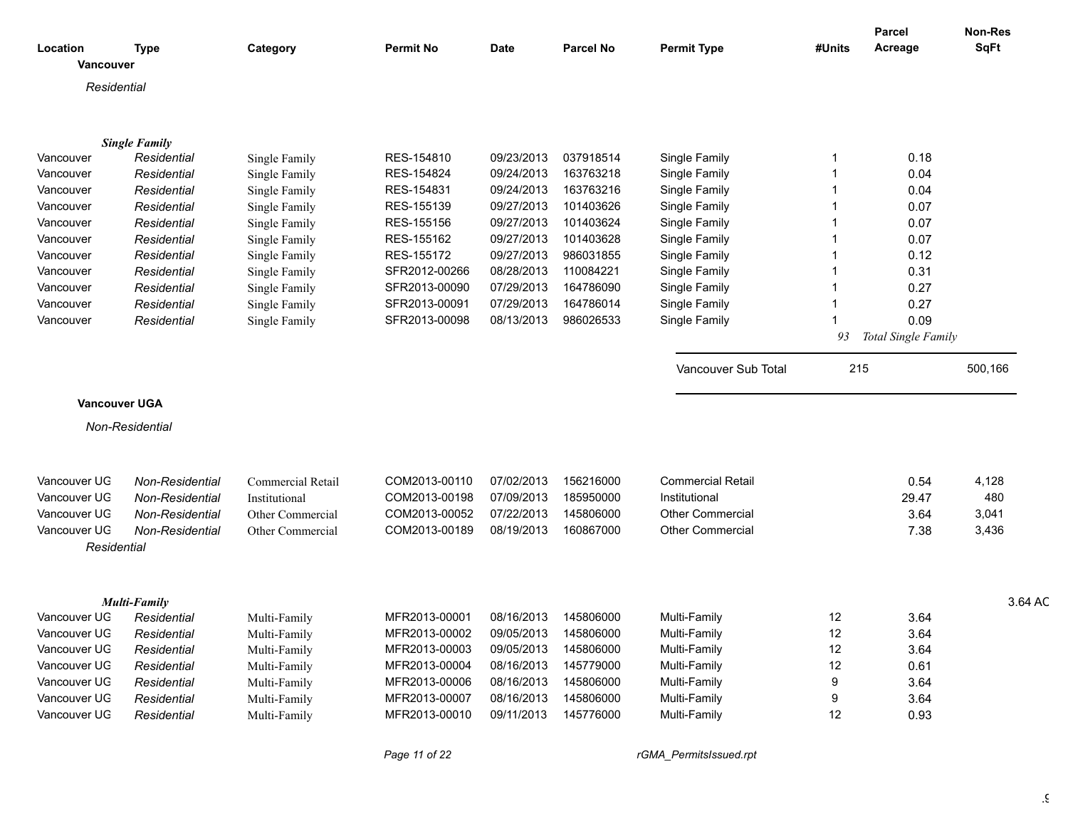|                       |                      |                   |                                    |                      |                  |                          |        | <b>Parcel</b>          | Non-Res     |
|-----------------------|----------------------|-------------------|------------------------------------|----------------------|------------------|--------------------------|--------|------------------------|-------------|
| Location<br>Vancouver | <b>Type</b>          | Category          | <b>Permit No</b>                   | <b>Date</b>          | <b>Parcel No</b> | <b>Permit Type</b>       | #Units | Acreage                | <b>SqFt</b> |
| Residential           |                      |                   |                                    |                      |                  |                          |        |                        |             |
|                       |                      |                   |                                    |                      |                  |                          |        |                        |             |
|                       | <b>Single Family</b> |                   |                                    |                      |                  |                          |        |                        |             |
| Vancouver             | Residential          | Single Family     | RES-154810                         | 09/23/2013           | 037918514        | Single Family            |        | 0.18                   |             |
| Vancouver             | Residential          | Single Family     | RES-154824                         | 09/24/2013           | 163763218        | Single Family            |        | 0.04                   |             |
| Vancouver             | Residential          | Single Family     | RES-154831                         | 09/24/2013           | 163763216        | Single Family            |        | 0.04                   |             |
| Vancouver             | Residential          | Single Family     | RES-155139                         | 09/27/2013           | 101403626        | Single Family            |        | 0.07                   |             |
| Vancouver             | Residential          | Single Family     | RES-155156                         | 09/27/2013           | 101403624        | Single Family            |        | 0.07                   |             |
| Vancouver             | Residential          | Single Family     | RES-155162                         | 09/27/2013           | 101403628        | Single Family            |        | 0.07                   |             |
| Vancouver             | Residential          | Single Family     | RES-155172                         | 09/27/2013           | 986031855        | Single Family            |        | 0.12                   |             |
| Vancouver             | Residential          | Single Family     | SFR2012-00266                      | 08/28/2013           | 110084221        | Single Family            |        | 0.31                   |             |
| Vancouver             | Residential          | Single Family     | SFR2013-00090                      | 07/29/2013           | 164786090        | Single Family            |        | 0.27                   |             |
| Vancouver             | Residential          | Single Family     | SFR2013-0009                       | 07/29/2013           | 164786014        | Single Family            |        | 0.27                   |             |
| Vancouver             | Residential          | Single Family     | SFR2013-00098                      | 08/13/2013           | 986026533        | Single Family            |        | 0.09                   |             |
|                       |                      |                   |                                    |                      |                  |                          |        | 93 Total Single Family |             |
|                       |                      |                   |                                    |                      |                  | Vancouver Sub Total      | 215    |                        | 500,166     |
|                       |                      |                   |                                    |                      |                  |                          |        |                        |             |
| <b>Vancouver UGA</b>  |                      |                   |                                    |                      |                  |                          |        |                        |             |
|                       | Non-Residential      |                   |                                    |                      |                  |                          |        |                        |             |
|                       |                      |                   |                                    |                      |                  |                          |        |                        |             |
| Vancouver UG          | Non-Residential      | Commercial Retail | COM2013-00110                      | 07/02/2013           | 156216000        | <b>Commercial Retail</b> |        | 0.54                   | 4,128       |
| Vancouver UG          | Non-Residential      | Institutional     | COM2013-00198                      | 07/09/2013           | 185950000        | Institutional            |        | 29.47                  | 480         |
| Vancouver UG          | Non-Residential      | Other Commercial  | COM2013-00052                      | 07/22/2013           | 145806000        | <b>Other Commercial</b>  |        | 3.64                   | 3,041       |
| Vancouver UG          | Non-Residential      | Other Commercial  | COM2013-00189                      | 08/19/2013           | 160867000        | <b>Other Commercial</b>  |        | 7.38                   | 3,436       |
| Residential           |                      |                   |                                    |                      |                  |                          |        |                        |             |
|                       |                      |                   |                                    |                      |                  |                          |        |                        |             |
|                       |                      |                   |                                    |                      |                  |                          |        |                        |             |
|                       | <b>Multi-Family</b>  |                   |                                    |                      |                  |                          |        |                        | 3.64 AC     |
| Vancouver UG          | Residential          | Multi-Family      | MFR2013-00001                      | 08/16/2013           | 145806000        | Multi-Family             | 12     | 3.64                   |             |
| Vancouver UG          | Residential          | Multi-Family      | MFR2013-00002                      | 09/05/2013           | 145806000        | Multi-Family             | 12     | 3.64                   |             |
| Vancouver UG          | Residential          | Multi-Family      | MFR2013-00003                      | 09/05/2013           | 145806000        | Multi-Family             | 12     | 3.64                   |             |
| Vancouver UG          | Residential          | Multi-Family      | MFR2013-00004                      | 08/16/2013 145779000 |                  | Multi-Family             | 12     | 0.61                   |             |
| Vancouver UG          | Residential          | Multi-Family      | MFR2013-00006                      | 08/16/2013           | 145806000        | Multi-Family             | -9     | 3.64                   |             |
| Vancouver UG          | Residential          | Multi-Family      | MFR2013-00007                      | 08/16/2013           | 145806000        | Multi-Family             |        | 3.64                   |             |
| Vancouver UG          | Residential          | Multi-Family      | MFR2013-00010 09/11/2013 145776000 |                      |                  | Multi-Family             | 12     | 0.93                   |             |
|                       |                      |                   |                                    |                      |                  |                          |        |                        |             |

*Page 11 of 22 rGMA\_PermitsIssued.rpt*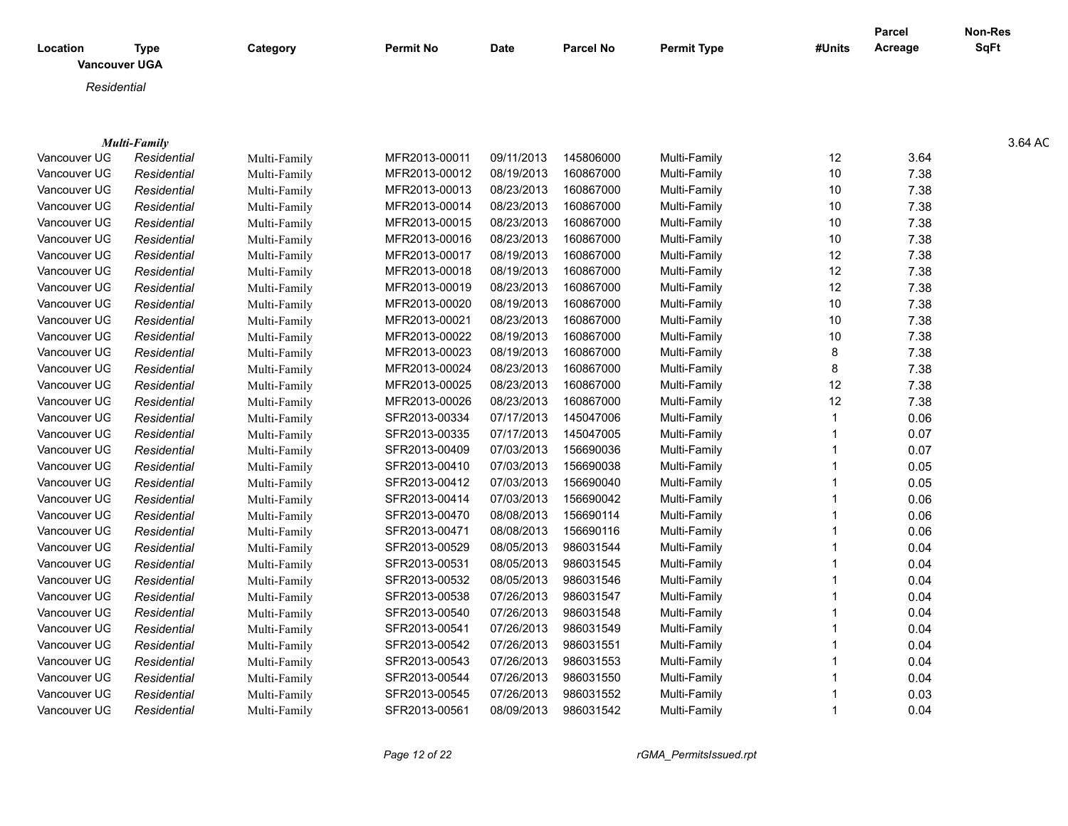|                                  |                            |                              |                  |             |                  |                    |                 | <b>Parcel</b> | <b>Non-Res</b> |
|----------------------------------|----------------------------|------------------------------|------------------|-------------|------------------|--------------------|-----------------|---------------|----------------|
| Location<br><b>Vancouver UGA</b> | <b>Type</b>                | Category                     | <b>Permit No</b> | <b>Date</b> | <b>Parcel No</b> | <b>Permit Type</b> | #Units          | Acreage       | <b>SqFt</b>    |
| Residential                      |                            |                              |                  |             |                  |                    |                 |               |                |
|                                  |                            |                              |                  |             |                  |                    |                 |               |                |
|                                  |                            |                              |                  |             |                  |                    |                 |               |                |
|                                  | <b>Multi-Family</b>        |                              |                  |             |                  |                    |                 |               | 3.64 AC        |
| Vancouver UG                     | Residential                | Multi-Family                 | MFR2013-00011    | 09/11/2013  | 145806000        | Multi-Family       | 12              | 3.64          |                |
| Vancouver UG                     | Residential                | Multi-Family                 | MFR2013-00012    | 08/19/2013  | 160867000        | Multi-Family       | 10              | 7.38          |                |
| Vancouver UG                     | Residential                | Multi-Family                 | MFR2013-00013    | 08/23/2013  | 160867000        | Multi-Family       | 10              | 7.38          |                |
| Vancouver UG                     | Residential                | Multi-Family                 | MFR2013-00014    | 08/23/2013  | 160867000        | Multi-Family       | 10 <sup>°</sup> | 7.38          |                |
| Vancouver UG                     | Residential                | Multi-Family                 | MFR2013-00015    | 08/23/2013  | 160867000        | Multi-Family       | 10              | 7.38          |                |
| Vancouver UG                     | Residential                | Multi-Family                 | MFR2013-00016    | 08/23/2013  | 160867000        | Multi-Family       | 10              | 7.38          |                |
| Vancouver UG                     | Residential                | Multi-Family                 | MFR2013-00017    | 08/19/2013  | 160867000        | Multi-Family       | 12              | 7.38          |                |
| Vancouver UG                     | Residential                | Multi-Family                 | MFR2013-00018    | 08/19/2013  | 160867000        | Multi-Family       | 12              | 7.38          |                |
| Vancouver UG                     | Residential                | Multi-Family                 | MFR2013-00019    | 08/23/2013  | 160867000        | Multi-Family       | 12              | 7.38          |                |
| Vancouver UG                     | Residential                | Multi-Family                 | MFR2013-00020    | 08/19/2013  | 160867000        | Multi-Family       | 10              | 7.38          |                |
| Vancouver UG                     | Residential                | Multi-Family                 | MFR2013-00021    | 08/23/2013  | 160867000        | Multi-Family       | 10              | 7.38          |                |
| Vancouver UG                     | Residential                | Multi-Family                 | MFR2013-00022    | 08/19/2013  | 160867000        | Multi-Family       | 10              | 7.38          |                |
| Vancouver UG                     | Residential                | Multi-Family                 | MFR2013-00023    | 08/19/2013  | 160867000        | Multi-Family       | 8               | 7.38          |                |
| Vancouver UG                     | Residential                | Multi-Family                 | MFR2013-00024    | 08/23/2013  | 160867000        | Multi-Family       | 8               | 7.38          |                |
| Vancouver UG                     | Residential                | Multi-Family                 | MFR2013-00025    | 08/23/2013  | 160867000        | Multi-Family       | 12              | 7.38          |                |
| Vancouver UG                     | Residential                | Multi-Family                 | MFR2013-00026    | 08/23/2013  | 160867000        | Multi-Family       | 12              | 7.38          |                |
| Vancouver UG                     | Residential                | Multi-Family                 | SFR2013-00334    | 07/17/2013  | 145047006        | Multi-Family       |                 | 0.06          |                |
| Vancouver UG                     | Residential                | Multi-Family                 | SFR2013-00335    | 07/17/2013  | 145047005        | Multi-Family       |                 | 0.07          |                |
| Vancouver UG                     | Residential                | Multi-Family                 | SFR2013-00409    | 07/03/2013  | 156690036        | Multi-Family       |                 | 0.07          |                |
| Vancouver UG                     | Residential                | Multi-Family                 | SFR2013-00410    | 07/03/2013  | 156690038        | Multi-Family       |                 | 0.05          |                |
| Vancouver UG                     | Residential                | Multi-Family                 | SFR2013-00412    | 07/03/2013  | 156690040        | Multi-Family       |                 | 0.05          |                |
| Vancouver UG                     | Residential                | Multi-Family                 | SFR2013-00414    | 07/03/2013  | 156690042        | Multi-Family       |                 | 0.06          |                |
| Vancouver UG                     | Residential                |                              | SFR2013-00470    | 08/08/2013  | 156690114        | Multi-Family       |                 |               |                |
| Vancouver UG                     | Residential                | Multi-Family                 | SFR2013-00471    | 08/08/2013  | 156690116        | Multi-Family       |                 | 0.06<br>0.06  |                |
|                                  |                            | Multi-Family<br>Multi-Family | SFR2013-00529    | 08/05/2013  | 986031544        | Multi-Family       |                 |               |                |
| Vancouver UG<br>Vancouver UG     | Residential<br>Residential |                              | SFR2013-00531    | 08/05/2013  | 986031545        | Multi-Family       |                 | 0.04<br>0.04  |                |
|                                  |                            | Multi-Family                 | SFR2013-00532    | 08/05/2013  | 986031546        | Multi-Family       |                 |               |                |
| Vancouver UG                     | Residential                | Multi-Family                 |                  | 07/26/2013  | 986031547        | Multi-Family       |                 | 0.04          |                |
| Vancouver UG                     | Residential                | Multi-Family                 | SFR2013-00538    | 07/26/2013  | 986031548        | Multi-Family       |                 | 0.04          |                |
| Vancouver UG                     | Residential                | Multi-Family                 | SFR2013-00540    |             |                  |                    |                 | 0.04          |                |
| Vancouver UG                     | Residential                | Multi-Family                 | SFR2013-00541    | 07/26/2013  | 986031549        | Multi-Family       |                 | 0.04          |                |
| Vancouver UG                     | Residential                | Multi-Family                 | SFR2013-00542    | 07/26/2013  | 986031551        | Multi-Family       |                 | 0.04          |                |
| Vancouver UG                     | Residential                | Multi-Family                 | SFR2013-00543    | 07/26/2013  | 986031553        | Multi-Family       |                 | 0.04          |                |
| Vancouver UG                     | Residential                | Multi-Family                 | SFR2013-00544    | 07/26/2013  | 986031550        | Multi-Family       |                 | 0.04          |                |
| Vancouver UG                     | Residential                | Multi-Family                 | SFR2013-00545    | 07/26/2013  | 986031552        | Multi-Family       |                 | 0.03          |                |
| Vancouver UG                     | Residential                | Multi-Family                 | SFR2013-00561    | 08/09/2013  | 986031542        | Multi-Family       |                 | 0.04          |                |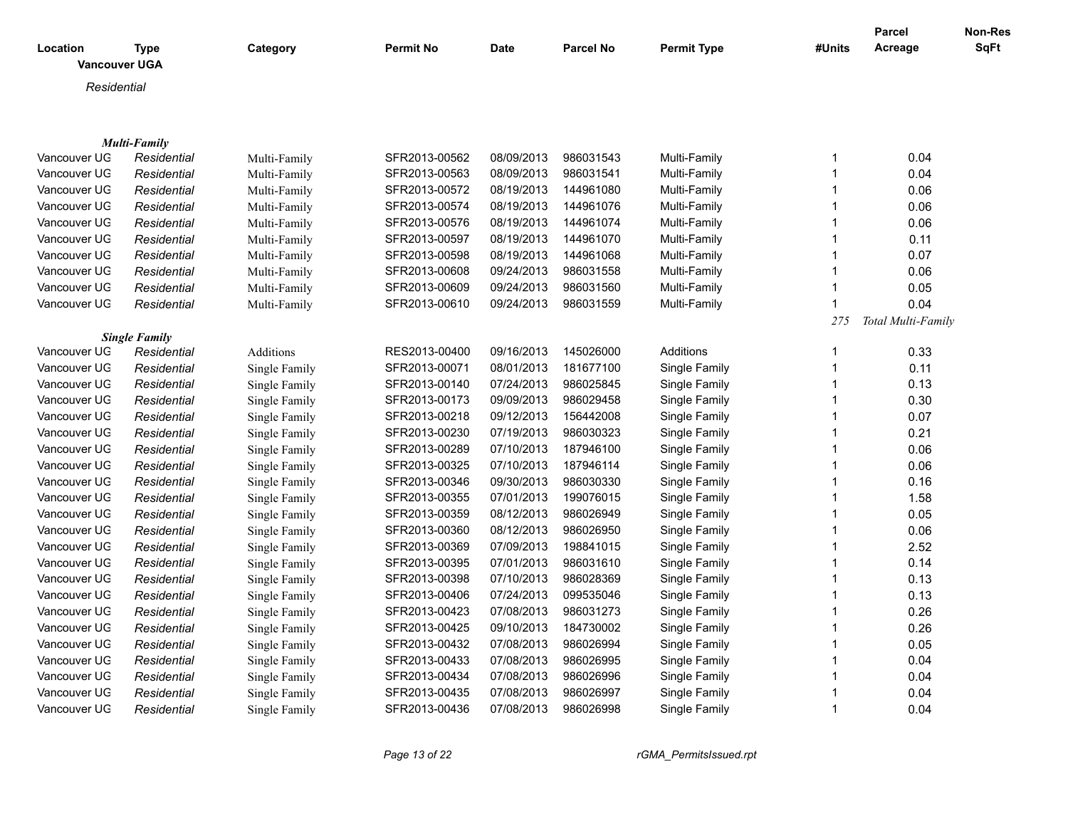|                                  |                      |               |                  |             |                  |                    |             | Parcel             | Non-Res     |
|----------------------------------|----------------------|---------------|------------------|-------------|------------------|--------------------|-------------|--------------------|-------------|
| Location<br><b>Vancouver UGA</b> | <b>Type</b>          | Category      | <b>Permit No</b> | <b>Date</b> | <b>Parcel No</b> | <b>Permit Type</b> | #Units      | Acreage            | <b>SqFt</b> |
| Residential                      |                      |               |                  |             |                  |                    |             |                    |             |
|                                  |                      |               |                  |             |                  |                    |             |                    |             |
|                                  |                      |               |                  |             |                  |                    |             |                    |             |
|                                  | Multi-Family         |               |                  |             |                  |                    |             |                    |             |
| Vancouver UG                     | Residential          | Multi-Family  | SFR2013-00562    | 08/09/2013  | 986031543        | Multi-Family       | 1           | 0.04               |             |
| Vancouver UG                     | Residential          | Multi-Family  | SFR2013-00563    | 08/09/2013  | 986031541        | Multi-Family       | 1           | 0.04               |             |
| Vancouver UG                     | Residential          | Multi-Family  | SFR2013-00572    | 08/19/2013  | 144961080        | Multi-Family       | -1          | 0.06               |             |
| Vancouver UG                     | Residential          | Multi-Family  | SFR2013-00574    | 08/19/2013  | 144961076        | Multi-Family       |             | 0.06               |             |
| Vancouver UG                     | Residential          | Multi-Family  | SFR2013-00576    | 08/19/2013  | 144961074        | Multi-Family       | $\mathbf 1$ | 0.06               |             |
| Vancouver UG                     | Residential          | Multi-Family  | SFR2013-00597    | 08/19/2013  | 144961070        | Multi-Family       |             | 0.11               |             |
| Vancouver UG                     | Residential          | Multi-Family  | SFR2013-00598    | 08/19/2013  | 144961068        | Multi-Family       | -1          | 0.07               |             |
| Vancouver UG                     | Residential          | Multi-Family  | SFR2013-00608    | 09/24/2013  | 986031558        | Multi-Family       |             | 0.06               |             |
| Vancouver UG                     | Residential          | Multi-Family  | SFR2013-00609    | 09/24/2013  | 986031560        | Multi-Family       | $\mathbf 1$ | 0.05               |             |
| Vancouver UG                     | Residential          | Multi-Family  | SFR2013-00610    | 09/24/2013  | 986031559        | Multi-Family       |             | 0.04               |             |
|                                  |                      |               |                  |             |                  |                    | 275         | Total Multi-Family |             |
|                                  | <b>Single Family</b> |               |                  |             |                  |                    |             |                    |             |
| Vancouver UG                     | Residential          | Additions     | RES2013-00400    | 09/16/2013  | 145026000        | Additions          | $\mathbf 1$ | 0.33               |             |
| Vancouver UG                     | Residential          | Single Family | SFR2013-00071    | 08/01/2013  | 181677100        | Single Family      | $\mathbf 1$ | 0.11               |             |
| Vancouver UG                     | Residential          | Single Family | SFR2013-00140    | 07/24/2013  | 986025845        | Single Family      | 1           | 0.13               |             |
| Vancouver UG                     | Residential          | Single Family | SFR2013-00173    | 09/09/2013  | 986029458        | Single Family      | $\mathbf 1$ | 0.30               |             |
| Vancouver UG                     | Residential          | Single Family | SFR2013-00218    | 09/12/2013  | 156442008        | Single Family      |             | 0.07               |             |
| Vancouver UG                     | Residential          | Single Family | SFR2013-00230    | 07/19/2013  | 986030323        | Single Family      | $\mathbf 1$ | 0.21               |             |
| Vancouver UG                     | Residential          | Single Family | SFR2013-00289    | 07/10/2013  | 187946100        | Single Family      |             | 0.06               |             |
| Vancouver UG                     | Residential          | Single Family | SFR2013-00325    | 07/10/2013  | 187946114        | Single Family      | -1          | 0.06               |             |
| Vancouver UG                     | Residential          | Single Family | SFR2013-00346    | 09/30/2013  | 986030330        | Single Family      |             | 0.16               |             |
| Vancouver UG                     | Residential          | Single Family | SFR2013-00355    | 07/01/2013  | 199076015        | Single Family      | -1          | 1.58               |             |
| Vancouver UG                     | Residential          | Single Family | SFR2013-00359    | 08/12/2013  | 986026949        | Single Family      |             | 0.05               |             |
| Vancouver UG                     | Residential          | Single Family | SFR2013-00360    | 08/12/2013  | 986026950        | Single Family      | $\mathbf 1$ | 0.06               |             |
| Vancouver UG                     | Residential          | Single Family | SFR2013-00369    | 07/09/2013  | 198841015        | Single Family      |             | 2.52               |             |
| Vancouver UG                     | Residential          | Single Family | SFR2013-00395    | 07/01/2013  | 986031610        | Single Family      | $\mathbf 1$ | 0.14               |             |
| Vancouver UG                     | Residential          | Single Family | SFR2013-00398    | 07/10/2013  | 986028369        | Single Family      | 1           | 0.13               |             |
| Vancouver UG                     | Residential          | Single Family | SFR2013-00406    | 07/24/2013  | 099535046        | Single Family      |             | 0.13               |             |
| Vancouver UG                     | Residential          | Single Family | SFR2013-00423    | 07/08/2013  | 986031273        | Single Family      |             | 0.26               |             |
| Vancouver UG                     | Residential          | Single Family | SFR2013-00425    | 09/10/2013  | 184730002        | Single Family      |             | 0.26               |             |
| Vancouver UG                     | Residential          | Single Family | SFR2013-00432    | 07/08/2013  | 986026994        | Single Family      | 1           | 0.05               |             |
| Vancouver UG                     | Residential          | Single Family | SFR2013-00433    | 07/08/2013  | 986026995        | Single Family      |             | 0.04               |             |
| Vancouver UG                     | Residential          | Single Family | SFR2013-00434    | 07/08/2013  | 986026996        | Single Family      |             | 0.04               |             |
| Vancouver UG                     | Residential          | Single Family | SFR2013-00435    | 07/08/2013  | 986026997        | Single Family      |             | 0.04               |             |
| Vancouver UG                     | Residential          | Single Family | SFR2013-00436    | 07/08/2013  | 986026998        | Single Family      | $\mathbf 1$ | 0.04               |             |
|                                  |                      |               |                  |             |                  |                    |             |                    |             |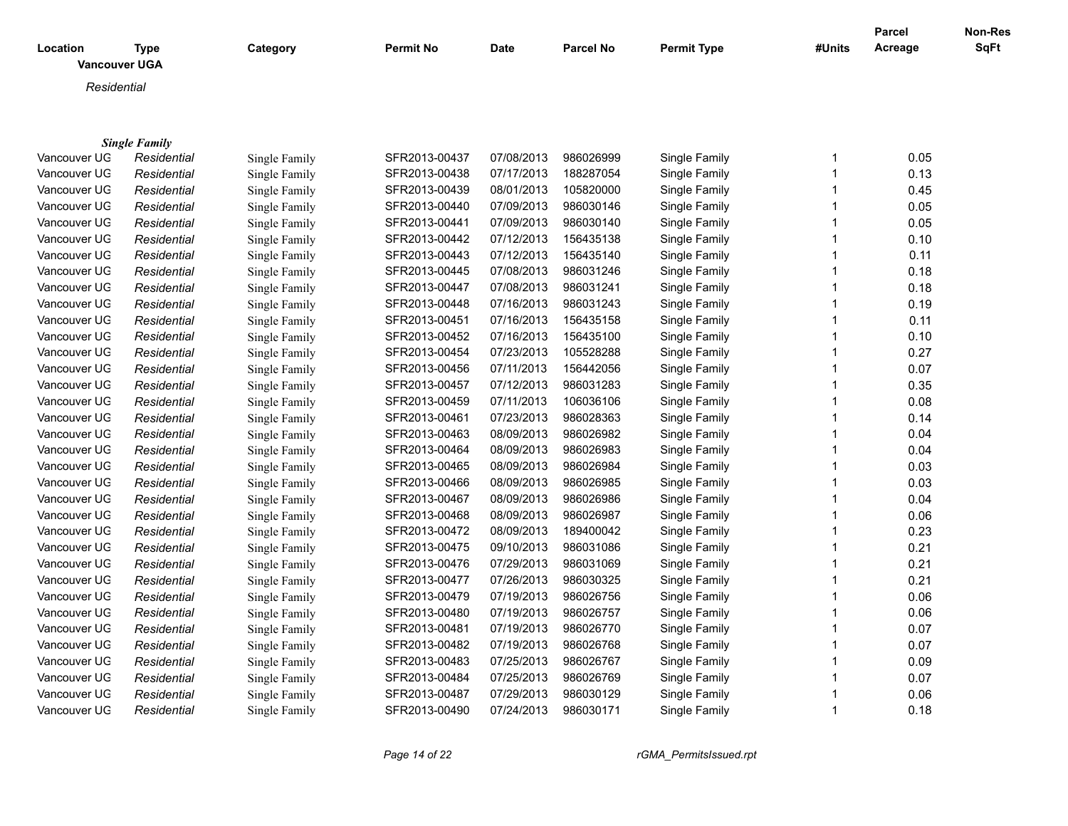| Location     | Type<br><b>Vancouver UGA</b> | Category      | <b>Permit No</b> | Date       | <b>Parcel No</b> | <b>Permit Type</b> | #Units | <b>Parcel</b><br>Acreage | Non-Res<br><b>SqFt</b> |
|--------------|------------------------------|---------------|------------------|------------|------------------|--------------------|--------|--------------------------|------------------------|
| Residential  |                              |               |                  |            |                  |                    |        |                          |                        |
|              | <b>Single Family</b>         |               |                  |            |                  |                    |        |                          |                        |
| Vancouver UG | Residential                  | Single Family | SFR2013-00437    | 07/08/2013 | 986026999        | Single Family      |        | 0.05                     |                        |
| Vancouver UG | Residential                  | Single Family | SFR2013-00438    | 07/17/2013 | 188287054        | Single Family      |        | 0.13                     |                        |

| Vancouver UG | Residential | Single Family | SFR2013-00438 | 07/17/2013 | 188287054 | Single Family | 0.13 |
|--------------|-------------|---------------|---------------|------------|-----------|---------------|------|
| Vancouver UG | Residential | Single Family | SFR2013-00439 | 08/01/2013 | 105820000 | Single Family | 0.45 |
| Vancouver UG | Residential | Single Family | SFR2013-00440 | 07/09/2013 | 986030146 | Single Family | 0.05 |
| Vancouver UG | Residential | Single Family | SFR2013-00441 | 07/09/2013 | 986030140 | Single Family | 0.05 |
| Vancouver UG | Residential | Single Family | SFR2013-00442 | 07/12/2013 | 156435138 | Single Family | 0.10 |
| Vancouver UG | Residential | Single Family | SFR2013-00443 | 07/12/2013 | 156435140 | Single Family | 0.11 |
| Vancouver UG | Residential | Single Family | SFR2013-00445 | 07/08/2013 | 986031246 | Single Family | 0.18 |
| Vancouver UG | Residential | Single Family | SFR2013-00447 | 07/08/2013 | 986031241 | Single Family | 0.18 |
| Vancouver UG | Residential | Single Family | SFR2013-00448 | 07/16/2013 | 986031243 | Single Family | 0.19 |
| Vancouver UG | Residential | Single Family | SFR2013-00451 | 07/16/2013 | 156435158 | Single Family | 0.11 |
| Vancouver UG | Residential | Single Family | SFR2013-00452 | 07/16/2013 | 156435100 | Single Family | 0.10 |
| Vancouver UG | Residential | Single Family | SFR2013-00454 | 07/23/2013 | 105528288 | Single Family | 0.27 |
| Vancouver UG | Residential | Single Family | SFR2013-00456 | 07/11/2013 | 156442056 | Single Family | 0.07 |
| Vancouver UG | Residential | Single Family | SFR2013-00457 | 07/12/2013 | 986031283 | Single Family | 0.35 |
| Vancouver UG | Residential | Single Family | SFR2013-00459 | 07/11/2013 | 106036106 | Single Family | 0.08 |
| Vancouver UG | Residential | Single Family | SFR2013-00461 | 07/23/2013 | 986028363 | Single Family | 0.14 |
| Vancouver UG | Residential | Single Family | SFR2013-00463 | 08/09/2013 | 986026982 | Single Family | 0.04 |
| Vancouver UG | Residential | Single Family | SFR2013-00464 | 08/09/2013 | 986026983 | Single Family | 0.04 |
| Vancouver UG | Residential | Single Family | SFR2013-00465 | 08/09/2013 | 986026984 | Single Family | 0.03 |
| Vancouver UG | Residential | Single Family | SFR2013-00466 | 08/09/2013 | 986026985 | Single Family | 0.03 |
| Vancouver UG | Residential | Single Family | SFR2013-00467 | 08/09/2013 | 986026986 | Single Family | 0.04 |
| Vancouver UG | Residential | Single Family | SFR2013-00468 | 08/09/2013 | 986026987 | Single Family | 0.06 |
| Vancouver UG | Residential | Single Family | SFR2013-00472 | 08/09/2013 | 189400042 | Single Family | 0.23 |
| Vancouver UG | Residential | Single Family | SFR2013-00475 | 09/10/2013 | 986031086 | Single Family | 0.21 |
| Vancouver UG | Residential | Single Family | SFR2013-00476 | 07/29/2013 | 986031069 | Single Family | 0.21 |
| Vancouver UG | Residential | Single Family | SFR2013-00477 | 07/26/2013 | 986030325 | Single Family | 0.21 |
| Vancouver UG | Residential | Single Family | SFR2013-00479 | 07/19/2013 | 986026756 | Single Family | 0.06 |
| Vancouver UG | Residential | Single Family | SFR2013-00480 | 07/19/2013 | 986026757 | Single Family | 0.06 |
| Vancouver UG | Residential | Single Family | SFR2013-00481 | 07/19/2013 | 986026770 | Single Family | 0.07 |
| Vancouver UG | Residential | Single Family | SFR2013-00482 | 07/19/2013 | 986026768 | Single Family | 0.07 |
| Vancouver UG | Residential | Single Family | SFR2013-00483 | 07/25/2013 | 986026767 | Single Family | 0.09 |
| Vancouver UG | Residential | Single Family | SFR2013-00484 | 07/25/2013 | 986026769 | Single Family | 0.07 |
| Vancouver UG | Residential | Single Family | SFR2013-00487 | 07/29/2013 | 986030129 | Single Family | 0.06 |
| Vancouver UG | Residential | Single Family | SFR2013-00490 | 07/24/2013 | 986030171 | Single Family | 0.18 |
|              |             |               |               |            |           |               |      |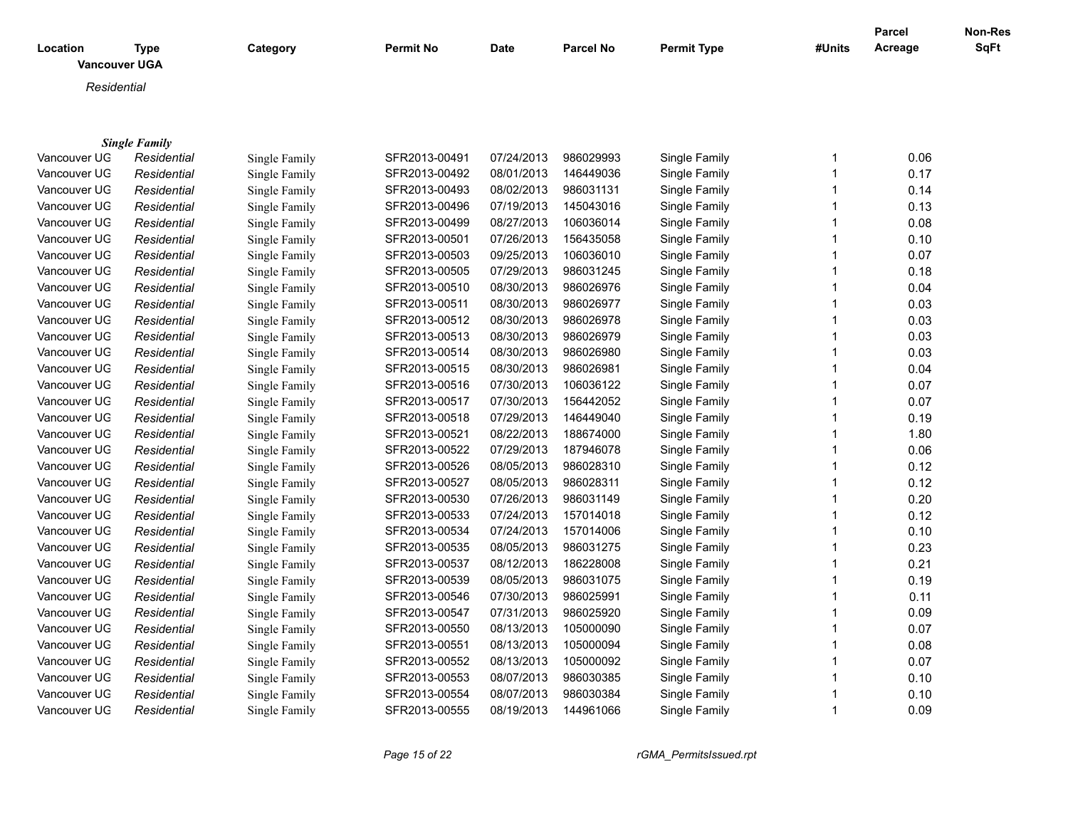| Location<br><b>Vancouver UGA</b> | <b>Type</b>          | Category      | <b>Permit No</b> | <b>Date</b> | <b>Parcel No</b> | <b>Permit Type</b> | #Units       | <b>Parcel</b><br>Acreage | Non-Res<br><b>SqFt</b> |
|----------------------------------|----------------------|---------------|------------------|-------------|------------------|--------------------|--------------|--------------------------|------------------------|
| Residential                      |                      |               |                  |             |                  |                    |              |                          |                        |
|                                  |                      |               |                  |             |                  |                    |              |                          |                        |
|                                  |                      |               |                  |             |                  |                    |              |                          |                        |
|                                  | <b>Single Family</b> |               |                  |             |                  |                    |              |                          |                        |
| Vancouver UG                     | Residential          | Single Family | SFR2013-00491    | 07/24/2013  | 986029993        | Single Family      | 1            | 0.06                     |                        |
| Vancouver UG                     | Residential          | Single Family | SFR2013-00492    | 08/01/2013  | 146449036        | Single Family      | $\mathbf{1}$ | 0.17                     |                        |
| Vancouver UG                     | Residential          | Single Family | SFR2013-00493    | 08/02/2013  | 986031131        | Single Family      | 1            | 0.14                     |                        |
| Vancouver UG                     | Residential          | Single Family | SFR2013-00496    | 07/19/2013  | 145043016        | Single Family      | 1            | 0.13                     |                        |
| Vancouver UG                     | Residential          | Single Family | SFR2013-00499    | 08/27/2013  | 106036014        | Single Family      | 1            | 0.08                     |                        |
| Vancouver UG                     | Residential          | Single Family | SFR2013-00501    | 07/26/2013  | 156435058        | Single Family      | 1            | 0.10                     |                        |
| Vancouver UG                     | Residential          | Single Family | SFR2013-00503    | 09/25/2013  | 106036010        | Single Family      | 1            | 0.07                     |                        |
| Vancouver UG                     | Residential          | Single Family | SFR2013-00505    | 07/29/2013  | 986031245        | Single Family      | 1            | 0.18                     |                        |
| Vancouver UG                     | Residential          | Single Family | SFR2013-00510    | 08/30/2013  | 986026976        | Single Family      | 1            | 0.04                     |                        |
| Vancouver UG                     | Residential          | Single Family | SFR2013-00511    | 08/30/2013  | 986026977        | Single Family      | 1            | 0.03                     |                        |
| Vancouver UG                     | Residential          | Single Family | SFR2013-00512    | 08/30/2013  | 986026978        | Single Family      | 1            | 0.03                     |                        |
| Vancouver UG                     | Residential          | Single Family | SFR2013-00513    | 08/30/2013  | 986026979        | Single Family      | 1            | 0.03                     |                        |
| Vancouver UG                     | Residential          | Single Family | SFR2013-00514    | 08/30/2013  | 986026980        | Single Family      | 1            | 0.03                     |                        |
| Vancouver UG                     | Residential          | Single Family | SFR2013-00515    | 08/30/2013  | 986026981        | Single Family      | 1            | 0.04                     |                        |
| Vancouver UG                     | Residential          | Single Family | SFR2013-00516    | 07/30/2013  | 106036122        | Single Family      | 1            | 0.07                     |                        |
| Vancouver UG                     | Residential          | Single Family | SFR2013-00517    | 07/30/2013  | 156442052        | Single Family      | 1            | 0.07                     |                        |
| Vancouver UG                     | Residential          | Single Family | SFR2013-00518    | 07/29/2013  | 146449040        | Single Family      | 1            | 0.19                     |                        |
| Vancouver UG                     | Residential          | Single Family | SFR2013-00521    | 08/22/2013  | 188674000        | Single Family      | 1            | 1.80                     |                        |
| Vancouver UG                     | Residential          | Single Family | SFR2013-00522    | 07/29/2013  | 187946078        | Single Family      | 1            | 0.06                     |                        |
| Vancouver UG                     | Residential          | Single Family | SFR2013-00526    | 08/05/2013  | 986028310        | Single Family      | 1            | 0.12                     |                        |
| Vancouver UG                     | Residential          | Single Family | SFR2013-00527    | 08/05/2013  | 986028311        | Single Family      | 1            | 0.12                     |                        |
| Vancouver UG                     | Residential          | Single Family | SFR2013-00530    | 07/26/2013  | 986031149        | Single Family      | 1            | 0.20                     |                        |
| Vancouver UG                     | Residential          | Single Family | SFR2013-00533    | 07/24/2013  | 157014018        | Single Family      |              | 0.12                     |                        |
| Vancouver UG                     | Residential          | Single Family | SFR2013-00534    | 07/24/2013  | 157014006        | Single Family      | 1            | 0.10                     |                        |
| Vancouver UG                     | Residential          | Single Family | SFR2013-00535    | 08/05/2013  | 986031275        | Single Family      |              | 0.23                     |                        |
| Vancouver UG                     | Residential          | Single Family | SFR2013-00537    | 08/12/2013  | 186228008        | Single Family      |              | 0.21                     |                        |
| Vancouver UG                     | Residential          | Single Family | SFR2013-00539    | 08/05/2013  | 986031075        | Single Family      |              | 0.19                     |                        |
| Vancouver UG                     | Residential          | Single Family | SFR2013-00546    | 07/30/2013  | 986025991        | Single Family      |              | 0.11                     |                        |
| Vancouver UG                     | Residential          | Single Family | SFR2013-00547    | 07/31/2013  | 986025920        | Single Family      | 1            | 0.09                     |                        |

Vancouver UGA *Residential* Single Family SFR2013-00550 08/13/2013 105000090 Single Family 1 0.07 Vancouver UGA *Residential* Single Family SFR2013-00551 08/13/2013 105000094 Single Family 1 0.08 Vancouver UGA *Residential* Single Family SFR2013-00552 08/13/2013 105000092 Single Family 1 0.07 Vancouver UGA *Residential* Single Family SFR2013-00553 08/07/2013 986030385 Single Family 1 0.10 Vancouver UGA *Residential* Single Family SFR2013-00554 08/07/2013 986030384 Single Family 1 0.10 Vancouver UGA *Residential* Single Family SFR2013-00555 08/19/2013 144961066 Single Family 1 0.09

*Page 15 of 22 rGMA\_PermitsIssued.rpt*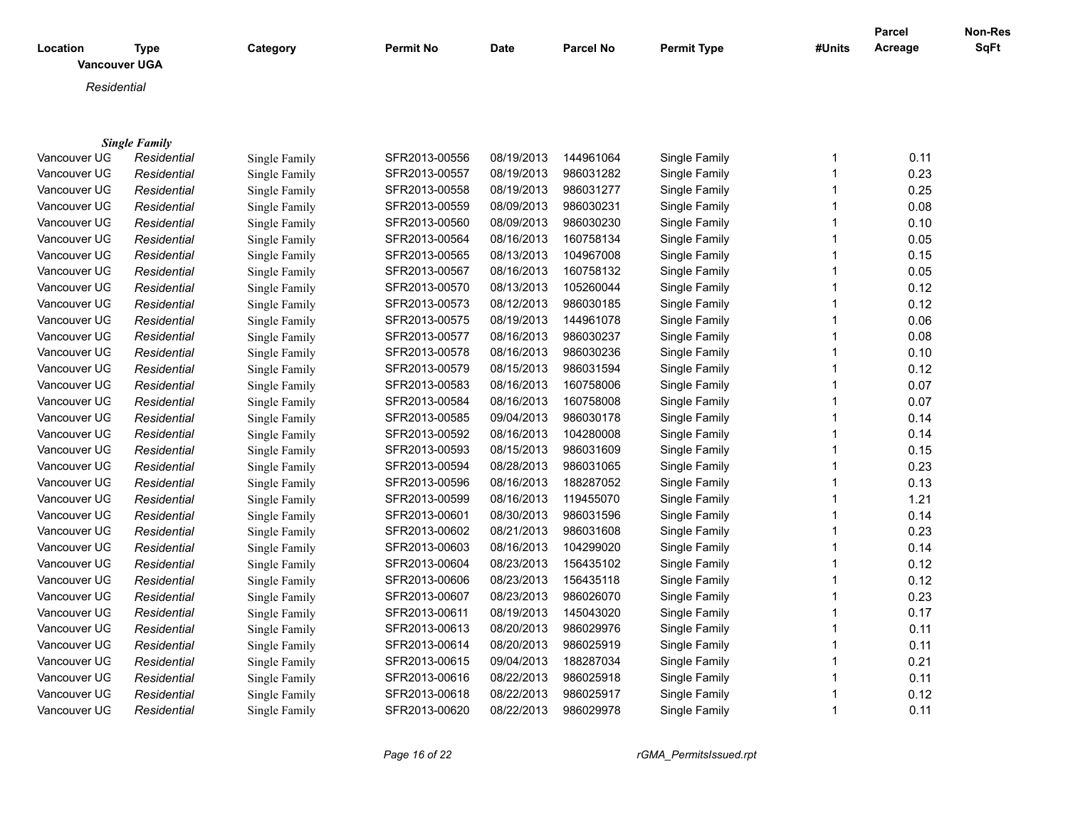|              |                      |               |                  |             |                  |                    |                | <b>Parcel</b> | Non-Res |
|--------------|----------------------|---------------|------------------|-------------|------------------|--------------------|----------------|---------------|---------|
| Location     | <b>Type</b>          | Category      | <b>Permit No</b> | <b>Date</b> | <b>Parcel No</b> | <b>Permit Type</b> | #Units         | Acreage       | SqFt    |
|              | <b>Vancouver UGA</b> |               |                  |             |                  |                    |                |               |         |
| Residential  |                      |               |                  |             |                  |                    |                |               |         |
|              |                      |               |                  |             |                  |                    |                |               |         |
|              |                      |               |                  |             |                  |                    |                |               |         |
|              | <b>Single Family</b> |               |                  |             |                  |                    |                |               |         |
| Vancouver UG | Residential          | Single Family | SFR2013-00556    | 08/19/2013  | 144961064        | Single Family      | $\mathbf{1}$   | 0.11          |         |
| Vancouver UG | Residential          | Single Family | SFR2013-00557    | 08/19/2013  | 986031282        | Single Family      | $\overline{1}$ | 0.23          |         |
| Vancouver UG | Residential          | Single Family | SFR2013-00558    | 08/19/2013  | 986031277        | Single Family      | $\overline{1}$ | 0.25          |         |
| Vancouver UG | Residential          | Single Family | SFR2013-00559    | 08/09/2013  | 986030231        | Single Family      | $\mathbf 1$    | 0.08          |         |
| Vancouver UG | Residential          | Single Family | SFR2013-00560    | 08/09/2013  | 986030230        | Single Family      | 1              | 0.10          |         |
| Vancouver UG | Residential          | Single Family | SFR2013-00564    | 08/16/2013  | 160758134        | Single Family      | 1              | 0.05          |         |
| Vancouver UG | Residential          | Single Family | SFR2013-00565    | 08/13/2013  | 104967008        | Single Family      | $\mathbf 1$    | 0.15          |         |
| Vancouver UG | Residential          | Single Family | SFR2013-00567    | 08/16/2013  | 160758132        | Single Family      | 1              | 0.05          |         |
| Vancouver UG | Residential          | Single Family | SFR2013-00570    | 08/13/2013  | 105260044        | Single Family      | $\mathbf{1}$   | 0.12          |         |
| Vancouver UG | Residential          | Single Family | SFR2013-00573    | 08/12/2013  | 986030185        | Single Family      | $\overline{1}$ | 0.12          |         |
| Vancouver UG | Residential          | Single Family | SFR2013-00575    | 08/19/2013  | 144961078        | Single Family      | $\overline{1}$ | 0.06          |         |
| Vancouver UG | Residential          | Single Family | SFR2013-00577    | 08/16/2013  | 986030237        | Single Family      | $\overline{1}$ | 0.08          |         |
| Vancouver UG | Residential          | Single Family | SFR2013-00578    | 08/16/2013  | 986030236        | Single Family      | $\overline{1}$ | 0.10          |         |
| Vancouver UG | Residential          | Single Family | SFR2013-00579    | 08/15/2013  | 986031594        | Single Family      | $\overline{1}$ | 0.12          |         |
| Vancouver UG | Residential          | Single Family | SFR2013-00583    | 08/16/2013  | 160758006        | Single Family      | $\overline{1}$ | 0.07          |         |
| Vancouver UG | Residential          | Single Family | SFR2013-00584    | 08/16/2013  | 160758008        | Single Family      | 1              | 0.07          |         |
| Vancouver UG | Residential          | Single Family | SFR2013-00585    | 09/04/2013  | 986030178        | Single Family      | 1              | 0.14          |         |
| Vancouver UG | Residential          | Single Family | SFR2013-00592    | 08/16/2013  | 104280008        | Single Family      | 1              | 0.14          |         |
| Vancouver UG | Residential          | Single Family | SFR2013-00593    | 08/15/2013  | 986031609        | Single Family      | 1              | 0.15          |         |
| Vancouver UG | Residential          | Single Family | SFR2013-00594    | 08/28/2013  | 986031065        | Single Family      | $\mathbf 1$    | 0.23          |         |
| Vancouver UG | Residential          | Single Family | SFR2013-00596    | 08/16/2013  | 188287052        | Single Family      | $\mathbf 1$    | 0.13          |         |
| Vancouver UG | Residential          | Single Family | SFR2013-00599    | 08/16/2013  | 119455070        | Single Family      | 1              | 1.21          |         |
| Vancouver UG | Residential          | Single Family | SFR2013-00601    | 08/30/2013  | 986031596        | Single Family      | $\overline{1}$ | 0.14          |         |
| Vancouver UG | Residential          | Single Family | SFR2013-00602    | 08/21/2013  | 986031608        | Single Family      | $\mathbf 1$    | 0.23          |         |
| Vancouver UG | Residential          | Single Family | SFR2013-00603    | 08/16/2013  | 104299020        | Single Family      | $\mathbf 1$    | 0.14          |         |
| Vancouver UG | Residential          | Single Family | SFR2013-00604    | 08/23/2013  | 156435102        | Single Family      | 1              | 0.12          |         |
| Vancouver UG | Residential          | Single Family | SFR2013-00606    | 08/23/2013  | 156435118        | Single Family      | 1              | 0.12          |         |
| Vancouver UG | Residential          | Single Family | SFR2013-00607    | 08/23/2013  | 986026070        | Single Family      | $\overline{1}$ | 0.23          |         |
| Vancouver UG | Residential          | Single Family | SFR2013-00611    | 08/19/2013  | 145043020        | Single Family      | 1              | 0.17          |         |
| Vancouver UG | Residential          | Single Family | SFR2013-00613    | 08/20/2013  | 986029976        | Single Family      | $\mathbf{1}$   | 0.11          |         |
| Vancouver UG | Residential          | Single Family | SFR2013-00614    | 08/20/2013  | 986025919        | Single Family      | 1              | 0.11          |         |
| Vancouver UG | Residential          | Single Family | SFR2013-00615    | 09/04/2013  | 188287034        | Single Family      | $\overline{1}$ | 0.21          |         |
| Vancouver UG | Residential          | Single Family | SFR2013-00616    | 08/22/2013  | 986025918        | Single Family      | $\mathbf 1$    | 0.11          |         |
| Vancouver UG | Residential          | Single Family | SFR2013-00618    | 08/22/2013  | 986025917        | Single Family      | $\overline{1}$ | 0.12          |         |
| Vancouver UG | Residential          | Single Family | SFR2013-00620    | 08/22/2013  | 986029978        | Single Family      | $\overline{1}$ | 0.11          |         |

*Page 16 of 22 rGMA\_PermitsIssued.rpt*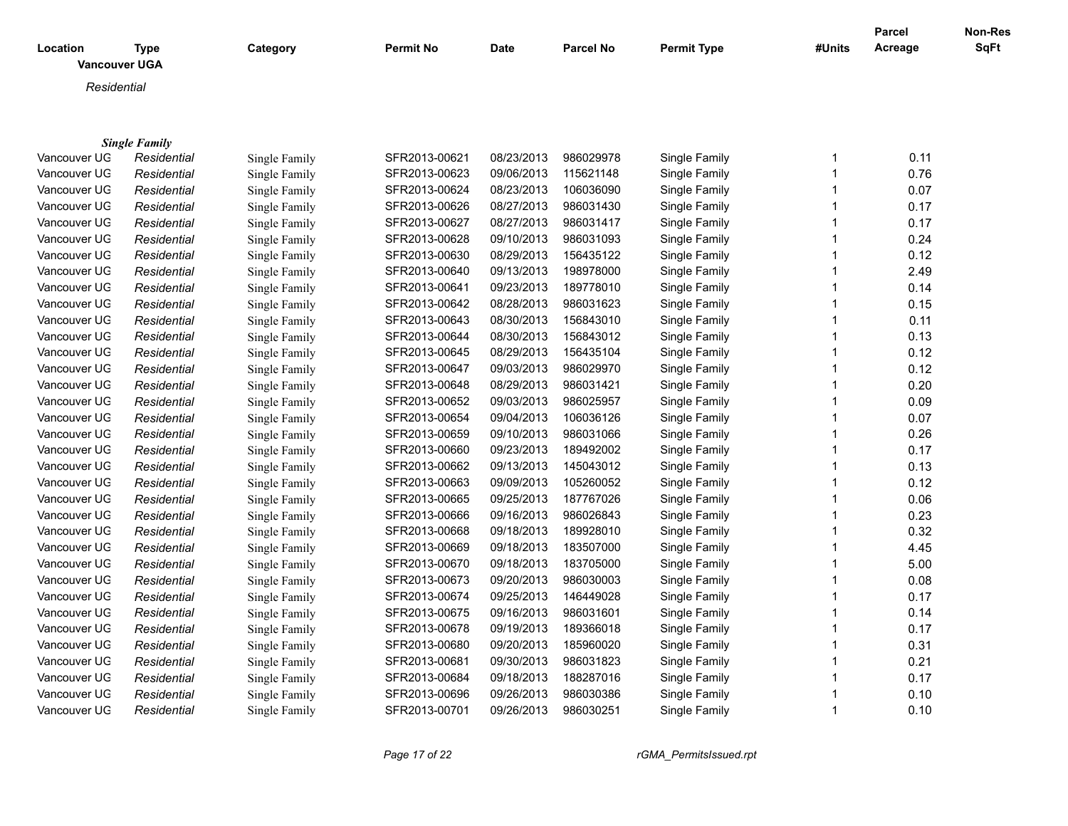| Location     | <b>Type</b><br><b>Vancouver UGA</b> | Category      | <b>Permit No</b>               | <b>Date</b>              | <b>Parcel No</b> | <b>Permit Type</b>             | #Units | Parcel<br>Acreage | <b>Non-Res</b><br><b>SqFt</b> |
|--------------|-------------------------------------|---------------|--------------------------------|--------------------------|------------------|--------------------------------|--------|-------------------|-------------------------------|
| Residential  |                                     |               |                                |                          |                  |                                |        |                   |                               |
|              |                                     |               |                                |                          |                  |                                |        |                   |                               |
|              |                                     |               |                                |                          |                  |                                |        |                   |                               |
| Vancouver UG | <b>Single Family</b><br>Residential | Single Family | SFR2013-00621                  | 08/23/2013               | 986029978        | Single Family                  | 1      | 0.11              |                               |
| Vancouver UG | Residential                         | Single Family | SFR2013-00623                  | 09/06/2013               | 115621148        | Single Family                  |        | 0.76              |                               |
| Vancouver UG | Residential                         | Single Family | SFR2013-00624                  | 08/23/2013               | 106036090        | Single Family                  |        | 0.07              |                               |
| Vancouver UG | Residential                         | Single Family | SFR2013-00626                  | 08/27/2013               | 986031430        | Single Family                  |        | 0.17              |                               |
| Vancouver UG | Residential                         | Single Family | SFR2013-00627                  | 08/27/2013               | 986031417        | Single Family                  |        | 0.17              |                               |
| Vancouver UG | Residential                         | Single Family | SFR2013-00628                  | 09/10/2013               | 986031093        | Single Family                  |        | 0.24              |                               |
| Vancouver UG | Residential                         | Single Family | SFR2013-00630                  | 08/29/2013               | 156435122        | Single Family                  |        | 0.12              |                               |
| Vancouver UG | Residential                         | Single Family | SFR2013-00640                  | 09/13/2013               | 198978000        | Single Family                  |        | 2.49              |                               |
| Vancouver UG | Residential                         | Single Family | SFR2013-00641                  | 09/23/2013               | 189778010        | Single Family                  |        | 0.14              |                               |
| Vancouver UG | Residential                         | Single Family | SFR2013-00642                  | 08/28/2013               | 986031623        | Single Family                  |        | 0.15              |                               |
| Vancouver UG | Residential                         | Single Family | SFR2013-00643                  | 08/30/2013               | 156843010        | Single Family                  |        | 0.11              |                               |
| Vancouver UG | Residential                         |               | SFR2013-00644                  | 08/30/2013               | 156843012        | Single Family                  |        | 0.13              |                               |
| Vancouver UG | Residential                         | Single Family | SFR2013-00645                  | 08/29/2013               | 156435104        | Single Family                  |        | 0.12              |                               |
| Vancouver UG |                                     | Single Family | SFR2013-00647                  | 09/03/2013               | 986029970        | Single Family                  |        | 0.12              |                               |
| Vancouver UG | Residential                         | Single Family |                                |                          | 986031421        |                                |        | 0.20              |                               |
| Vancouver UG | Residential<br>Residential          | Single Family | SFR2013-00648                  | 08/29/2013<br>09/03/2013 | 986025957        | Single Family                  |        | 0.09              |                               |
| Vancouver UG | Residential                         | Single Family | SFR2013-00652<br>SFR2013-00654 | 09/04/2013               | 106036126        | Single Family<br>Single Family |        | 0.07              |                               |
| Vancouver UG | Residential                         | Single Family | SFR2013-00659                  | 09/10/2013               | 986031066        | Single Family                  |        | 0.26              |                               |
| Vancouver UG |                                     | Single Family | SFR2013-00660                  | 09/23/2013               | 189492002        | Single Family                  |        | 0.17              |                               |
| Vancouver UG | Residential                         | Single Family | SFR2013-00662                  | 09/13/2013               | 145043012        | Single Family                  |        | 0.13              |                               |
|              | Residential                         | Single Family |                                |                          |                  |                                |        |                   |                               |
| Vancouver UG | Residential                         | Single Family | SFR2013-00663                  | 09/09/2013               | 105260052        | Single Family                  |        | 0.12              |                               |
| Vancouver UG | Residential                         | Single Family | SFR2013-00665                  | 09/25/2013               | 187767026        | Single Family                  |        | 0.06              |                               |
| Vancouver UG | Residential                         | Single Family | SFR2013-00666                  | 09/16/2013               | 986026843        | Single Family                  |        | 0.23              |                               |
| Vancouver UG | Residential                         | Single Family | SFR2013-00668                  | 09/18/2013               | 189928010        | Single Family                  |        | 0.32              |                               |
| Vancouver UG | Residential                         | Single Family | SFR2013-00669                  | 09/18/2013               | 183507000        | Single Family                  |        | 4.45              |                               |
| Vancouver UG | Residential                         | Single Family | SFR2013-00670                  | 09/18/2013               | 183705000        | Single Family                  |        | 5.00              |                               |
| Vancouver UG | Residential                         | Single Family | SFR2013-00673                  | 09/20/2013               | 986030003        | Single Family                  |        | 0.08              |                               |
| Vancouver UG | Residential                         | Single Family | SFR2013-00674                  | 09/25/2013               | 146449028        | Single Family                  | 1      | 0.17              |                               |

Vancouver UGA *Residential* Single Family SFR2013-00675 09/16/2013 986031601 Single Family 1 0.14 Vancouver UGA *Residential* Single Family SFR2013-00678 09/19/2013 189366018 Single Family 1 0.17 Vancouver UGA *Residential* Single Family SFR2013-00680 09/20/2013 185960020 Single Family 1 0.31 Vancouver UGA *Residential* Single Family SFR2013-00681 09/30/2013 986031823 Single Family 1 0.21 Vancouver UGA *Residential* Single Family SFR2013-00684 09/18/2013 188287016 Single Family 1 0.17 Vancouver UGA *Residential* Single Family SFR2013-00696 09/26/2013 986030386 Single Family 1 0.10 Vancouver UGA *Residential* Single Family SFR2013-00701 09/26/2013 986030251 Single Family 1 0.10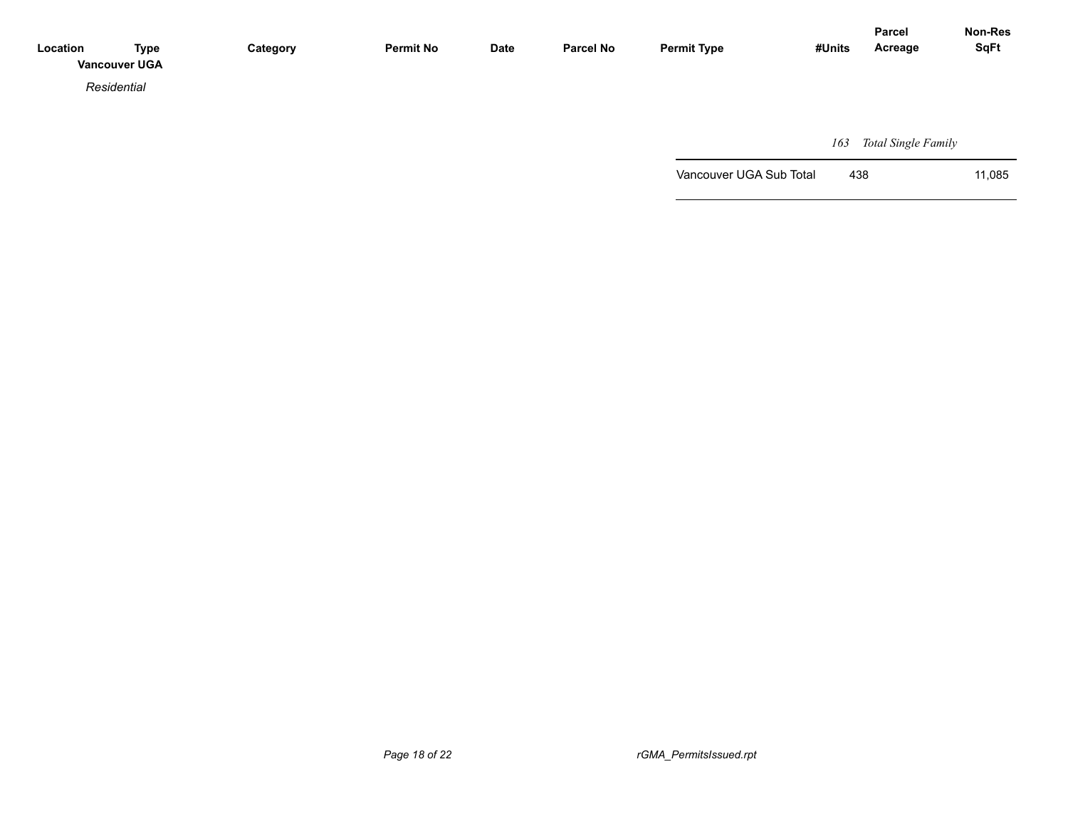| Location | <b>Type</b><br><b>Vancouver UGA</b> | Category | <b>Permit No</b> | <b>Date</b> | <b>Parcel No</b> | <b>Permit Type</b> | #Units | <b>Parcel</b><br>Acreage | Non-Res<br><b>SqFt</b> |
|----------|-------------------------------------|----------|------------------|-------------|------------------|--------------------|--------|--------------------------|------------------------|
|          | Residential                         |          |                  |             |                  |                    |        |                          |                        |
|          |                                     |          |                  |             |                  |                    |        |                          |                        |

 *163 Total Single Family*

Vancouver UGA Sub Total 438 11,085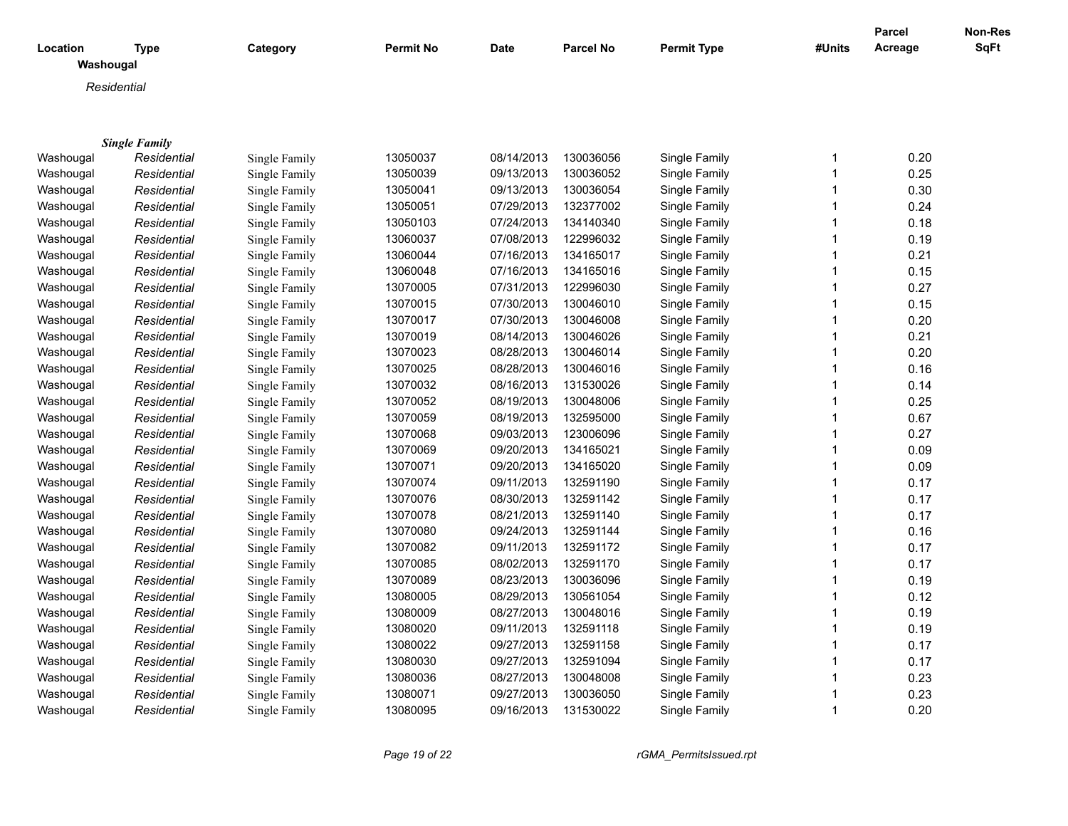|                       |                      |               |                  |             |                  |                    |             | <b>Parcel</b> | Non-Res     |
|-----------------------|----------------------|---------------|------------------|-------------|------------------|--------------------|-------------|---------------|-------------|
| Location<br>Washougal | <b>Type</b>          | Category      | <b>Permit No</b> | <b>Date</b> | <b>Parcel No</b> | <b>Permit Type</b> | #Units      | Acreage       | <b>SqFt</b> |
|                       | Residential          |               |                  |             |                  |                    |             |               |             |
|                       |                      |               |                  |             |                  |                    |             |               |             |
|                       |                      |               |                  |             |                  |                    |             |               |             |
|                       | <b>Single Family</b> |               |                  |             |                  |                    |             |               |             |
| Washougal             | Residential          | Single Family | 13050037         | 08/14/2013  | 130036056        | Single Family      | 1           | 0.20          |             |
| Washougal             | Residential          | Single Family | 13050039         | 09/13/2013  | 130036052        | Single Family      | 1           | 0.25          |             |
| Washougal             | Residential          | Single Family | 13050041         | 09/13/2013  | 130036054        | Single Family      | 1           | 0.30          |             |
| Washougal             | Residential          | Single Family | 13050051         | 07/29/2013  | 132377002        | Single Family      | 1           | 0.24          |             |
| Washougal             | Residential          | Single Family | 13050103         | 07/24/2013  | 134140340        | Single Family      | 1           | 0.18          |             |
| Washougal             | Residential          | Single Family | 13060037         | 07/08/2013  | 122996032        | Single Family      | 1           | 0.19          |             |
| Washougal             | Residential          | Single Family | 13060044         | 07/16/2013  | 134165017        | Single Family      | 1           | 0.21          |             |
| Washougal             | Residential          | Single Family | 13060048         | 07/16/2013  | 134165016        | Single Family      | 1           | 0.15          |             |
| Washougal             | Residential          | Single Family | 13070005         | 07/31/2013  | 122996030        | Single Family      | 1           | 0.27          |             |
| Washougal             | Residential          | Single Family | 13070015         | 07/30/2013  | 130046010        | Single Family      | 1           | 0.15          |             |
| Washougal             | Residential          | Single Family | 13070017         | 07/30/2013  | 130046008        | Single Family      | 1           | 0.20          |             |
| Washougal             | Residential          | Single Family | 13070019         | 08/14/2013  | 130046026        | Single Family      | 1           | 0.21          |             |
| Washougal             | Residential          | Single Family | 13070023         | 08/28/2013  | 130046014        | Single Family      | 1           | 0.20          |             |
| Washougal             | Residential          | Single Family | 13070025         | 08/28/2013  | 130046016        | Single Family      | 1           | 0.16          |             |
| Washougal             | Residential          | Single Family | 13070032         | 08/16/2013  | 131530026        | Single Family      | 1           | 0.14          |             |
| Washougal             | Residential          | Single Family | 13070052         | 08/19/2013  | 130048006        | Single Family      | 1           | 0.25          |             |
| Washougal             | Residential          | Single Family | 13070059         | 08/19/2013  | 132595000        | Single Family      | 1           | 0.67          |             |
| Washougal             | Residential          | Single Family | 13070068         | 09/03/2013  | 123006096        | Single Family      | 1           | 0.27          |             |
| Washougal             | Residential          | Single Family | 13070069         | 09/20/2013  | 134165021        | Single Family      | 1           | 0.09          |             |
| Washougal             | Residential          | Single Family | 13070071         | 09/20/2013  | 134165020        | Single Family      | 1           | 0.09          |             |
| Washougal             | Residential          | Single Family | 13070074         | 09/11/2013  | 132591190        | Single Family      | 1           | 0.17          |             |
| Washougal             | Residential          | Single Family | 13070076         | 08/30/2013  | 132591142        | Single Family      | 1           | 0.17          |             |
| Washougal             | Residential          | Single Family | 13070078         | 08/21/2013  | 132591140        | Single Family      | 1           | 0.17          |             |
| Washougal             | Residential          | Single Family | 13070080         | 09/24/2013  | 132591144        | Single Family      | 1           | 0.16          |             |
| Washougal             | Residential          | Single Family | 13070082         | 09/11/2013  | 132591172        | Single Family      | 1           | 0.17          |             |
| Washougal             | Residential          | Single Family | 13070085         | 08/02/2013  | 132591170        | Single Family      | 1           | 0.17          |             |
| Washougal             | Residential          | Single Family | 13070089         | 08/23/2013  | 130036096        | Single Family      | 1           | 0.19          |             |
| Washougal             | Residential          | Single Family | 13080005         | 08/29/2013  | 130561054        | Single Family      | 1           | 0.12          |             |
| Washougal             | Residential          | Single Family | 13080009         | 08/27/2013  | 130048016        | Single Family      | 1           | 0.19          |             |
| Washougal             | Residential          | Single Family | 13080020         | 09/11/2013  | 132591118        | Single Family      | 1           | 0.19          |             |
| Washougal             | Residential          | Single Family | 13080022         | 09/27/2013  | 132591158        | Single Family      | 1           | 0.17          |             |
| Washougal             | Residential          | Single Family | 13080030         | 09/27/2013  | 132591094        | Single Family      | 1           | 0.17          |             |
| Washougal             | Residential          | Single Family | 13080036         | 08/27/2013  | 130048008        | Single Family      | 1           | 0.23          |             |
| Washougal             | Residential          | Single Family | 13080071         | 09/27/2013  | 130036050        | Single Family      |             | 0.23          |             |
| Washougal             | Residential          | Single Family | 13080095         | 09/16/2013  | 131530022        | Single Family      | $\mathbf 1$ | 0.20          |             |

*Page 19 of 22 rGMA\_PermitsIssued.rpt*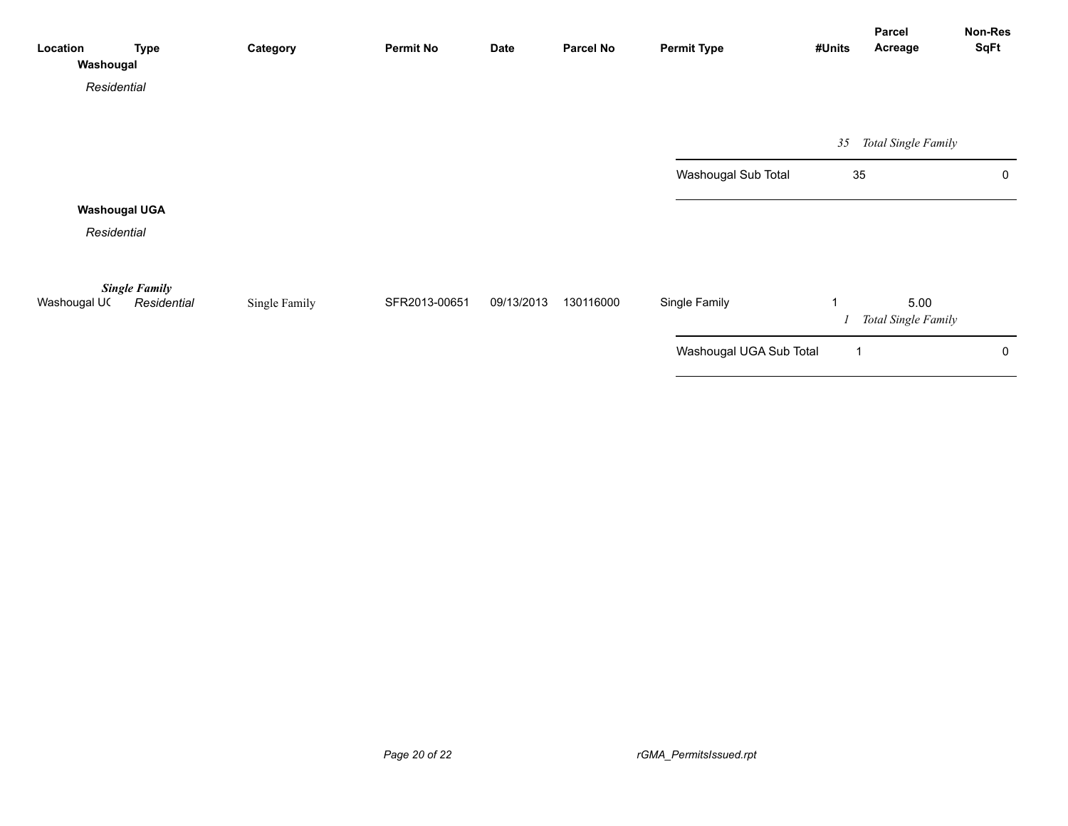| Location<br>Washougal | <b>Type</b>                         | Category      | <b>Permit No</b> | <b>Date</b> | <b>Parcel No</b> | <b>Permit Type</b>      | #Units         | Parcel<br>Acreage           | Non-Res<br>SqFt |
|-----------------------|-------------------------------------|---------------|------------------|-------------|------------------|-------------------------|----------------|-----------------------------|-----------------|
| Residential           |                                     |               |                  |             |                  |                         |                |                             |                 |
|                       |                                     |               |                  |             |                  |                         | 35             | Total Single Family         |                 |
|                       |                                     |               |                  |             |                  | Washougal Sub Total     | 35             |                             | 0               |
| <b>Washougal UGA</b>  |                                     |               |                  |             |                  |                         |                |                             |                 |
| Residential           |                                     |               |                  |             |                  |                         |                |                             |                 |
| Washougal UC          | <b>Single Family</b><br>Residential | Single Family | SFR2013-00651    | 09/13/2013  | 130116000        | Single Family           |                | 5.00<br>Total Single Family |                 |
|                       |                                     |               |                  |             |                  | Washougal UGA Sub Total | $\overline{1}$ |                             | 0               |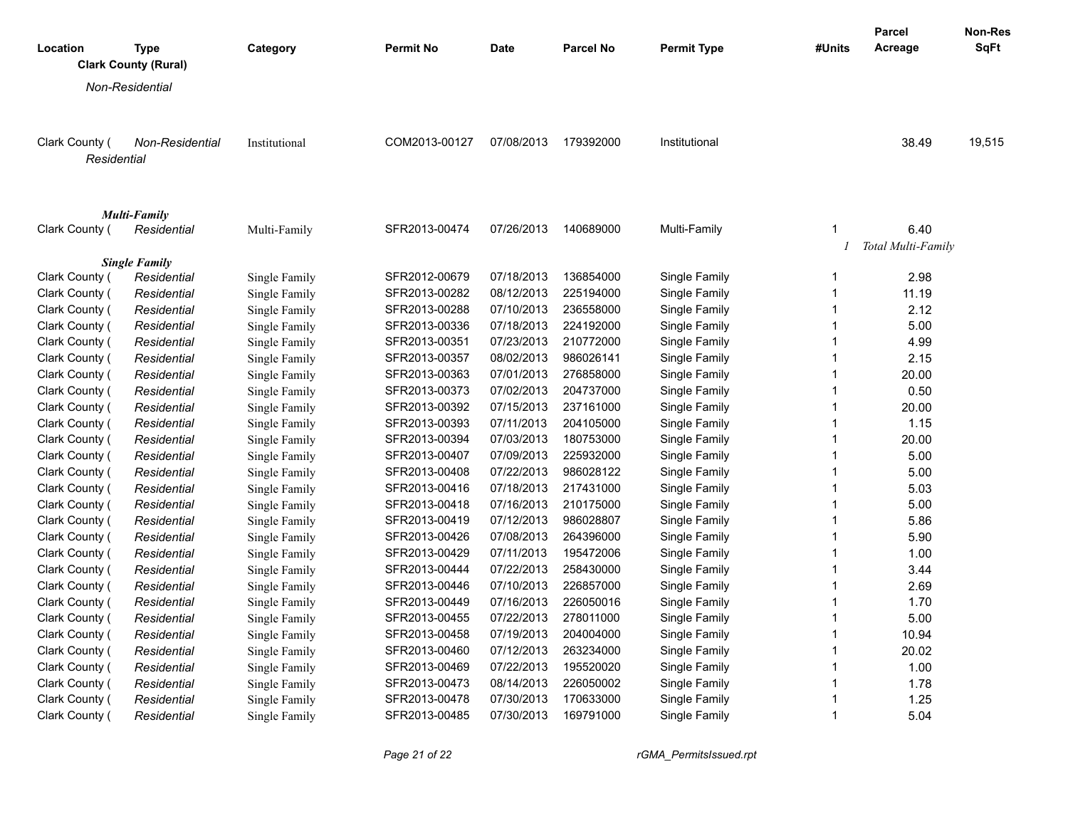|                               |                                            |               |                  |             |                  |                    |              | <b>Parcel</b>      | <b>Non-Res</b> |
|-------------------------------|--------------------------------------------|---------------|------------------|-------------|------------------|--------------------|--------------|--------------------|----------------|
| Location                      | <b>Type</b><br><b>Clark County (Rural)</b> | Category      | <b>Permit No</b> | <b>Date</b> | <b>Parcel No</b> | <b>Permit Type</b> | #Units       | Acreage            | <b>SqFt</b>    |
|                               | Non-Residential                            |               |                  |             |                  |                    |              |                    |                |
|                               |                                            |               |                  |             |                  |                    |              |                    |                |
|                               |                                            |               |                  |             |                  |                    |              |                    |                |
| Clark County (<br>Residential | <b>Non-Residential</b>                     | Institutional | COM2013-00127    | 07/08/2013  | 179392000        | Institutional      |              | 38.49              | 19,515         |
|                               |                                            |               |                  |             |                  |                    |              |                    |                |
|                               |                                            |               |                  |             |                  |                    |              |                    |                |
|                               | <b>Multi-Family</b>                        |               |                  |             |                  |                    |              |                    |                |
| Clark County (                | Residential                                | Multi-Family  | SFR2013-00474    | 07/26/2013  | 140689000        | Multi-Family       | 1            | 6.40               |                |
|                               |                                            |               |                  |             |                  |                    |              | Total Multi-Family |                |
|                               | <b>Single Family</b>                       |               |                  |             |                  |                    |              |                    |                |
| Clark County (                | Residential                                | Single Family | SFR2012-00679    | 07/18/2013  | 136854000        | Single Family      | 1            | 2.98               |                |
| Clark County (                | Residential                                | Single Family | SFR2013-00282    | 08/12/2013  | 225194000        | Single Family      | $\mathbf{1}$ | 11.19              |                |
| Clark County (                | Residential                                | Single Family | SFR2013-00288    | 07/10/2013  | 236558000        | Single Family      | 1            | 2.12               |                |
| Clark County (                | Residential                                | Single Family | SFR2013-00336    | 07/18/2013  | 224192000        | Single Family      | $\mathbf{1}$ | 5.00               |                |
| Clark County (                | Residential                                | Single Family | SFR2013-00351    | 07/23/2013  | 210772000        | Single Family      | 1            | 4.99               |                |
| Clark County (                | Residential                                | Single Family | SFR2013-00357    | 08/02/2013  | 986026141        | Single Family      | $\mathbf{1}$ | 2.15               |                |
| Clark County (                | Residential                                | Single Family | SFR2013-00363    | 07/01/2013  | 276858000        | Single Family      | 1            | 20.00              |                |
| Clark County (                | Residential                                | Single Family | SFR2013-00373    | 07/02/2013  | 204737000        | Single Family      | 1            | 0.50               |                |
| Clark County (                | Residential                                | Single Family | SFR2013-00392    | 07/15/2013  | 237161000        | Single Family      | $\mathbf{1}$ | 20.00              |                |
| Clark County (                | Residential                                | Single Family | SFR2013-00393    | 07/11/2013  | 204105000        | Single Family      | $\mathbf{1}$ | 1.15               |                |
| Clark County (                | Residential                                | Single Family | SFR2013-00394    | 07/03/2013  | 180753000        | Single Family      | $\mathbf{1}$ | 20.00              |                |
| Clark County (                | Residential                                | Single Family | SFR2013-00407    | 07/09/2013  | 225932000        | Single Family      | $\mathbf{1}$ | 5.00               |                |
| Clark County (                | Residential                                | Single Family | SFR2013-00408    | 07/22/2013  | 986028122        | Single Family      | $\mathbf{1}$ | 5.00               |                |
| Clark County (                | Residential                                | Single Family | SFR2013-00416    | 07/18/2013  | 217431000        | Single Family      | 1            | 5.03               |                |
| Clark County (                | Residential                                | Single Family | SFR2013-00418    | 07/16/2013  | 210175000        | Single Family      | $\mathbf{1}$ | 5.00               |                |
| Clark County (                | Residential                                | Single Family | SFR2013-00419    | 07/12/2013  | 986028807        | Single Family      | 1            | 5.86               |                |
| Clark County (                | Residential                                | Single Family | SFR2013-00426    | 07/08/2013  | 264396000        | Single Family      | $\mathbf{1}$ | 5.90               |                |
| Clark County (                | Residential                                | Single Family | SFR2013-00429    | 07/11/2013  | 195472006        | Single Family      | 1            | 1.00               |                |
| Clark County (                | Residential                                | Single Family | SFR2013-00444    | 07/22/2013  | 258430000        | Single Family      | $\mathbf{1}$ | 3.44               |                |
| Clark County (                | Residential                                | Single Family | SFR2013-00446    | 07/10/2013  | 226857000        | Single Family      | $\mathbf{1}$ | 2.69               |                |
| Clark County (                | Residential                                | Single Family | SFR2013-00449    | 07/16/2013  | 226050016        | Single Family      | $\mathbf{1}$ | 1.70               |                |
| Clark County (                | Residential                                | Single Family | SFR2013-00455    | 07/22/2013  | 278011000        | Single Family      | $\mathbf{1}$ | 5.00               |                |
| Clark County (                | Residential                                | Single Family | SFR2013-00458    | 07/19/2013  | 204004000        | Single Family      | $\mathbf{1}$ | 10.94              |                |
| Clark County (                | Residential                                | Single Family | SFR2013-00460    | 07/12/2013  | 263234000        | Single Family      | $\mathbf{1}$ | 20.02              |                |
| Clark County (                | Residential                                | Single Family | SFR2013-00469    | 07/22/2013  | 195520020        | Single Family      | $\mathbf{1}$ | 1.00               |                |
| Clark County (                | Residential                                | Single Family | SFR2013-00473    | 08/14/2013  | 226050002        | Single Family      | $\mathbf{1}$ | 1.78               |                |
| Clark County (                | Residential                                | Single Family | SFR2013-00478    | 07/30/2013  | 170633000        | Single Family      | 1            | 1.25               |                |
| Clark County (                | Residential                                | Single Family | SFR2013-00485    | 07/30/2013  | 169791000        | Single Family      | $\mathbf{1}$ | 5.04               |                |

*Page 21 of 22 rGMA\_PermitsIssued.rpt*